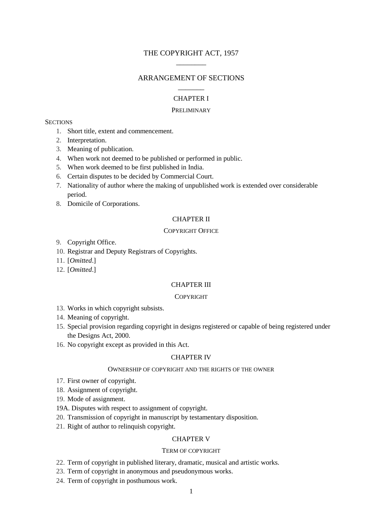## THE COPYRIGHT ACT, 1957 \_\_\_\_\_\_\_\_

## ARRANGEMENT OF SECTIONS  $\overline{\phantom{a}}$

## CHAPTER I

#### PRELIMINARY

## **SECTIONS**

- 1. Short title, extent and commencement.
- 2. Interpretation.
- 3. Meaning of publication.
- 4. When work not deemed to be published or performed in public.
- 5. When work deemed to be first published in India.
- 6. Certain disputes to be decided by Commercial Court.
- 7. Nationality of author where the making of unpublished work is extended over considerable period.
- 8. Domicile of Corporations.

## CHAPTER II

## COPYRIGHT OFFICE

- 9. Copyright Office.
- 10. Registrar and Deputy Registrars of Copyrights.
- 11. [*Omitted*.]
- 12. [*Omitted*.]

## CHAPTER III

### COPYRIGHT

- 13. Works in which copyright subsists.
- 14. Meaning of copyright.
- 15. Special provision regarding copyright in designs registered or capable of being registered under the Designs Act, 2000.
- 16. No copyright except as provided in this Act.

### CHAPTER IV

### OWNERSHIP OF COPYRIGHT AND THE RIGHTS OF THE OWNER

- 17. First owner of copyright.
- 18. Assignment of copyright.
- 19. Mode of assignment.
- 19A. Disputes with respect to assignment of copyright.
- 20. Transmission of copyright in manuscript by testamentary disposition.
- 21. Right of author to relinquish copyright.

### CHAPTER V

#### TERM OF COPYRIGHT

- 22. Term of copyright in published literary, dramatic, musical and artistic works.
- 23. Term of copyright in anonymous and pseudonymous works.
- 24. Term of copyright in posthumous work.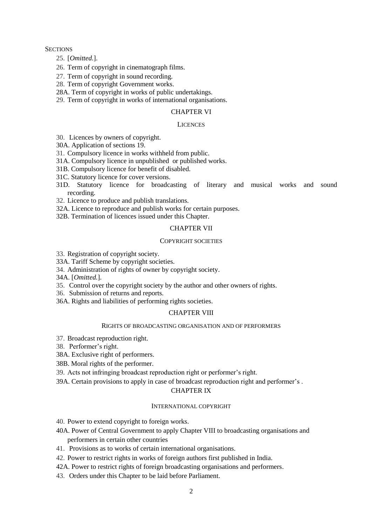**SECTIONS** 

- 25. [*Omitted.*].
- 26. Term of copyright in cinematograph films.
- 27. Term of copyright in sound recording.
- 28. Term of copyright Government works.
- 28A. Term of copyright in works of public undertakings.
- 29. Term of copyright in works of international organisations.

## CHAPTER VI

#### **LICENCES**

30. Licences by owners of copyright.

30A. Application of sections 19.

- 31. Compulsory licence in works withheld from public.
- 31A. Compulsory licence in unpublished or published works.
- 31B. Compulsory licence for benefit of disabled.
- 31C. Statutory licence for cover versions.
- 31D. Statutory licence for broadcasting of literary and musical works and sound recording.
- 32. Licence to produce and publish translations.
- 32A. Licence to reproduce and publish works for certain purposes.
- 32B. Termination of licences issued under this Chapter.

#### CHAPTER VII

## COPYRIGHT SOCIETIES

33. Registration of copyright society.

33A. Tariff Scheme by copyright societies.

34. Administration of rights of owner by copyright society.

34A. [*Omitted.*].

- 35. Control over the copyright society by the author and other owners of rights.
- 36. Submission of returns and reports.
- 36A. Rights and liabilities of performing rights societies.

## CHAPTER VIII

### RIGHTS OF BROADCASTING ORGANISATION AND OF PERFORMERS

- 37. Broadcast reproduction right.
- 38. Performer's right.
- 38A. Exclusive right of performers.
- 38B. Moral rights of the performer.
- 39. Acts not infringing broadcast reproduction right or performer's right.
- 39A. Certain provisions to apply in case of broadcast reproduction right and performer's .

#### CHAPTER IX

#### INTERNATIONAL COPYRIGHT

- 40. Power to extend copyright to foreign works.
- 40A. Power of Central Government to apply Chapter VIII to broadcasting organisations and performers in certain other countries
- 41. Provisions as to works of certain international organisations.
- 42. Power to restrict rights in works of foreign authors first published in India.
- 42A. Power to restrict rights of foreign broadcasting organisations and performers.
- 43. Orders under this Chapter to be laid before Parliament.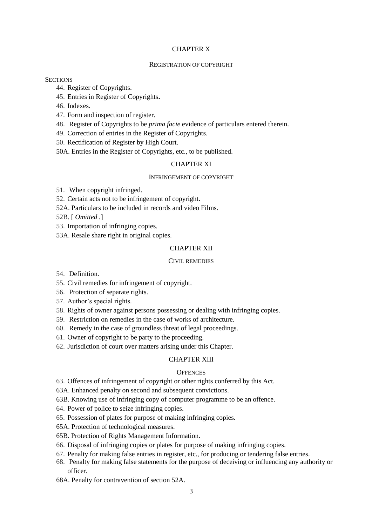### CHAPTER X

### REGISTRATION OF COPYRIGHT

## **SECTIONS**

44. Register of Copyrights.

45. Entries in Register of Copyrights**.**

46. Indexes.

47. Form and inspection of register.

48. Register of Copyrights to be *prima facie* evidence of particulars entered therein.

49. Correction of entries in the Register of Copyrights.

50. Rectification of Register by High Court.

50A. Entries in the Register of Copyrights, etc., to be published.

## CHAPTER XI

### INFRINGEMENT OF COPYRIGHT

51. When copyright infringed.

52. Certain acts not to be infringement of copyright.

52A. Particulars to be included in records and video Films.

52B. [ *Omitted .*]

53. Importation of infringing copies.

53A. Resale share right in original copies.

## CHAPTER XII

#### CIVIL REMEDIES

54. Definition.

- 55. Civil remedies for infringement of copyright.
- 56. Protection of separate rights.
- 57. Author's special rights.
- 58. Rights of owner against persons possessing or dealing with infringing copies.
- 59. Restriction on remedies in the case of works of architecture.
- 60. Remedy in the case of groundless threat of legal proceedings.
- 61. Owner of copyright to be party to the proceeding.
- 62. Jurisdiction of court over matters arising under this Chapter.

## CHAPTER XIII

## **OFFENCES**

63. Offences of infringement of copyright or other rights conferred by this Act.

63A. Enhanced penalty on second and subsequent convictions.

63B. Knowing use of infringing copy of computer programme to be an offence.

64. Power of police to seize infringing copies.

65. Possession of plates for purpose of making infringing copies.

65A. Protection of technological measures.

65B. Protection of Rights Management Information.

66. Disposal of infringing copies or plates for purpose of making infringing copies.

- 67. Penalty for making false entries in register, etc., for producing or tendering false entries.
- 68. Penalty for making false statements for the purpose of deceiving or influencing any authority or officer.

68A. Penalty for contravention of section 52A.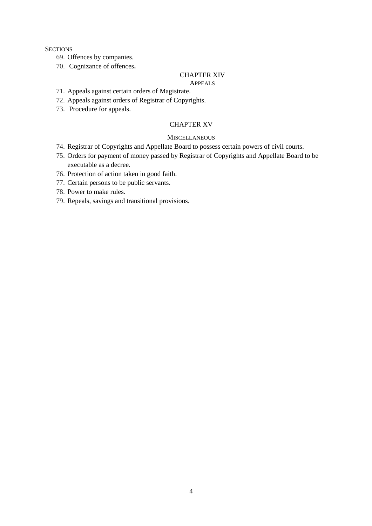**SECTIONS** 

- 69. Offences by companies.
- 70. Cognizance of offences**.**

# CHAPTER XIV

## APPEALS

- 71. Appeals against certain orders of Magistrate.
- 72. Appeals against orders of Registrar of Copyrights.
- 73. Procedure for appeals.

## CHAPTER XV

## **MISCELLANEOUS**

- 74. Registrar of Copyrights and Appellate Board to possess certain powers of civil courts.
- 75. Orders for payment of money passed by Registrar of Copyrights and Appellate Board to be executable as a decree.
- 76. Protection of action taken in good faith.
- 77. Certain persons to be public servants.
- 78. Power to make rules.
- 79. Repeals, savings and transitional provisions.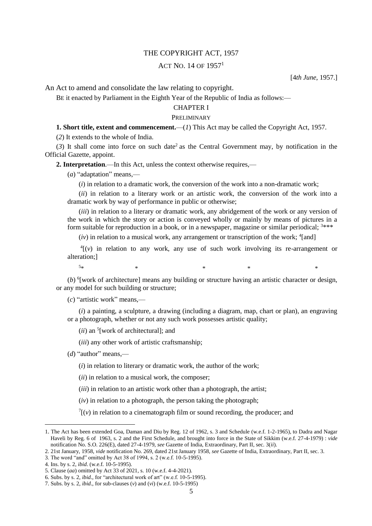## THE COPYRIGHT ACT, 1957

## ACT NO. 14 OF  $1957<sup>1</sup>$

[4*th June*, 1957.]

An Act to amend and consolidate the law relating to copyright.

BE it enacted by Parliament in the Eighth Year of the Republic of India as follows:—

# CHAPTER I

#### PRELIMINARY

**1. Short title, extent and commencement.**—(*1*) This Act may be called the Copyright Act, 1957.

(*2*) It extends to the whole of India.

(3) It shall come into force on such date<sup>2</sup> as the Central Government may, by notification in the Official Gazette, appoint.

**2. Interpretation**.—In this Act, unless the context otherwise requires,—

(*a*) "adaptation" means,—

(*i*) in relation to a dramatic work, the conversion of the work into a non-dramatic work;

(*ii*) in relation to a literary work or an artistic work, the conversion of the work into a dramatic work by way of performance in public or otherwise;

(*iii*) in relation to a literary or dramatic work, any abridgement of the work or any version of the work in which the story or action is conveyed wholly or mainly by means of pictures in a form suitable for reproduction in a book, or in a newspaper, magazine or similar periodical;  $3***$ 

 $(iv)$  in relation to a musical work, any arrangement or transcription of the work;  $\textsuperscript{4}[$  and]

 ${}^{4}$ [(*v*) in relation to any work, any use of such work involving its re-arrangement or alteration;]

 $*$  \*  $*$  \*  $*$  \*

(*b*) 6 [work of architecture] means any building or structure having an artistic character or design, or any model for such building or structure;

(*c*) "artistic work" means,—

 $5*$ 

(*i*) a painting, a sculpture, a drawing (including a diagram, map, chart or plan), an engraving or a photograph, whether or not any such work possesses artistic quality;

 $(ii)$  an <sup>5</sup>[work of architectural]; and

(*iii*) any other work of artistic craftsmanship;

(*d*) "author" means,—

(*i*) in relation to literary or dramatic work, the author of the work;

(*ii*) in relation to a musical work, the composer;

(*iii*) in relation to an artistic work other than a photograph, the artist;

(*iv*) in relation to a photograph, the person taking the photograph;

 $T(v)$  in relation to a cinematograph film or sound recording, the producer; and

<sup>1</sup>. The Act has been extended Goa, Daman and Diu by Reg. 12 of 1962, s. 3 and Schedule (w.e.f. 1-2-1965), to Dadra and Nagar Haveli by Reg. 6 of 1963, s. 2 and the First Schedule, and brought into force in the State of Sikkim (w.e.f. 27-4-1979) : *vide* notification No. S.O. 226(E), dated 27-4-1979, *see* Gazette of India, Extraordinary, Part II, sec. 3(*ii*).

<sup>2.</sup> 21st January, 1958, *vide* notification No. 269, dated 21stJanuary 1958, *see* Gazette of India, Extraordinary, Part II, sec. 3.

<sup>3.</sup> The word "and" omitted by Act 38 of 1994, s. 2 (w.e.f. 10-5-1995).

<sup>4.</sup> Ins. by s. 2, *ibid*. (w.e.f. 10-5-1995).

<sup>5.</sup> Clause (*aa*) omitted by Act 33 of 2021, s. 10 (w.e.f. 4-4-2021).

<sup>6.</sup> Subs. by s. 2, *ibid*., for "architectural work of art" (w.e.f. 10-5-1995).

<sup>7.</sup> Subs. by s. 2, *ibid*., for sub-clauses (*v*) and (*vi*) (w.e.f. 10-5-1995)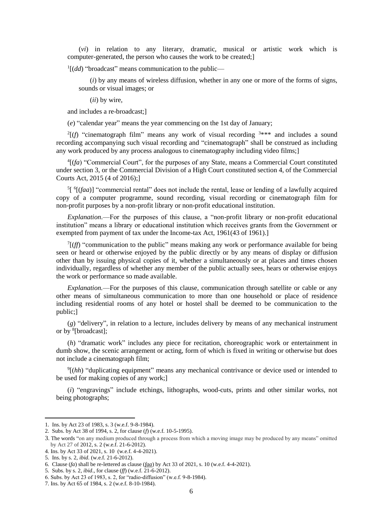(*vi*) in relation to any literary, dramatic, musical or artistic work which is computer-generated, the person who causes the work to be created;]

 $\frac{1}{d}$ [(*dd*) "broadcast" means communication to the public—

(*i*) by any means of wireless diffusion, whether in any one or more of the forms of signs, sounds or visual images; or

(*ii*) by wire,

and includes a re-broadcast;]

(*e*) "calendar year" means the year commencing on the 1st day of January;

 $2(f)$  "cinematograph film" means any work of visual recording  $3***$  and includes a sound recording accompanying such visual recording and "cinematograph" shall be construed as including any work produced by any process analogous to cinematography including video films;]

<sup>4</sup>[(*fa*) "Commercial Court", for the purposes of any State, means a Commercial Court constituted under section 3, or the Commercial Division of a High Court constituted section 4, of the Commercial Courts Act, 2015 (4 of 2016);]

<sup>5</sup>[ $^{6}$ [(*faa*)] "commercial rental" does not include the rental, lease or lending of a lawfully acquired copy of a computer programme, sound recording, visual recording or cinematograph film for non-profit purposes by a non-profit library or non-profit educational institution.

*Explanation*.—For the purposes of this clause, a "non-profit library or non-profit educational institution" means a library or educational institution which receives grants from the Government or exempted from payment of tax under the Income-tax Act, 1961(43 of 1961).]

 $T(f)$  "communication to the public" means making any work or performance available for being seen or heard or otherwise enjoyed by the public directly or by any means of display or diffusion other than by issuing physical copies of it, whether a simultaneously or at places and times chosen individually, regardless of whether any member of the public actually sees, hears or otherwise enjoys the work or performance so made available.

*Explanation.*—For the purposes of this clause, communication through satellite or cable or any other means of simultaneous communication to more than one household or place of residence including residential rooms of any hotel or hostel shall be deemed to be communication to the public;]

(*g*) "delivery", in relation to a lecture, includes delivery by means of any mechanical instrument or by <sup>8</sup> [broadcast];

(*h*) "dramatic work" includes any piece for recitation, choreographic work or entertainment in dumb show, the scenic arrangement or acting, form of which is fixed in writing or otherwise but does not include a cinematograph film;

 $\mathcal{O}(h)$  "duplicating equipment" means any mechanical contrivance or device used or intended to be used for making copies of any work;]

(*i*) "engravings" include etchings, lithographs, wood-cuts, prints and other similar works, not being photographs;

<sup>1.</sup> Ins. by Act 23 of 1983, s. 3 (w.e.f. 9-8-1984).

<sup>2.</sup> Subs. by Act 38 of 1994, s. 2, for clause (*f*) (w.e.f. 10-5-1995).

<sup>3</sup>. The words "on any medium produced through a process from which a moving image may be produced by any means" omitted by Act 27 of 2012, s. 2 (w.e.f. 21-6-2012).

<sup>4.</sup> Ins. by Act 33 of 2021, s. 10 (w.e.f. 4-4-2021).

<sup>5.</sup> Ins. by s. 2, *ibid*. (w.e.f. 21-6-2012).

<sup>6.</sup> Clause (*fa*) shall be re-lettered as clause (*faa*) by Act 33 of 2021, s. 10 (w.e.f. 4-4-2021).

<sup>5.</sup> Subs. by s. 2, *ibid*., for clause (*ff*) (w.e.f. 21-6-2012).

<sup>6.</sup> Subs. by Act 23 of 1983, s. 2, for "radio-diffusion" (w.e.f. 9-8-1984).

<sup>7.</sup> Ins. by Act 65 of 1984, s. 2 (w.e.f. 8-10-1984).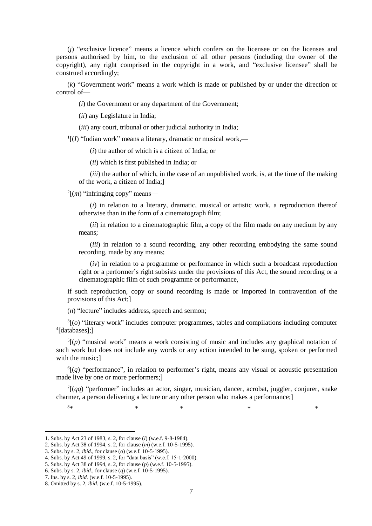(*j*) "exclusive licence" means a licence which confers on the licensee or on the licenses and persons authorised by him, to the exclusion of all other persons (including the owner of the copyright), any right comprised in the copyright in a work, and "exclusive licensee" shall be construed accordingly;

(*k*) "Government work" means a work which is made or published by or under the direction or control of—

(*i*) the Government or any department of the Government;

(*ii*) any Legislature in India;

(*iii*) any court, tribunal or other judicial authority in India;

 $\mathbb{1}[(I)$  "Indian work" means a literary, dramatic or musical work,—

(*i*) the author of which is a citizen of India; or

(*ii*) which is first published in India; or

(*iii*) the author of which, in the case of an unpublished work, is, at the time of the making of the work, a citizen of India;]

 $2[(m)$  "infringing copy" means—

(*i*) in relation to a literary, dramatic, musical or artistic work, a reproduction thereof otherwise than in the form of a cinematograph film;

(*ii*) in relation to a cinematographic film, a copy of the film made on any medium by any means;

(*iii*) in relation to a sound recording, any other recording embodying the same sound recording, made by any means;

(*iv*) in relation to a programme or performance in which such a broadcast reproduction right or a performer's right subsists under the provisions of this Act, the sound recording or a cinematographic film of such programme or performance,

if such reproduction, copy or sound recording is made or imported in contravention of the provisions of this Act;]

(*n*) "lecture" includes address, speech and sermon;

<sup>3</sup>[(o) "literary work" includes computer programmes, tables and compilations including computer 4 [databases];]

 $<sup>5</sup>[(p)$  "musical work" means a work consisting of music and includes any graphical notation of</sup> such work but does not include any words or any action intended to be sung, spoken or performed with the music;

 ${}^6$ [ $(q)$  "performance", in relation to performer's right, means any visual or acoustic presentation made live by one or more performers;]

 $T[(qq)$  "performer" includes an actor, singer, musician, dancer, acrobat, juggler, conjurer, snake charmer, a person delivering a lecture or any other person who makes a performance;]

<sup>8</sup>\* \* \* \* \*

<sup>1.</sup> Subs. by Act 23 of 1983, s. 2, for clause (*l*) (w.e.f. 9-8-1984).

<sup>2.</sup> Subs. by Act 38 of 1994, s. 2, for clause (*m*) (w.e.f. 10-5-1995).

<sup>3.</sup> Subs. by s. 2, *ibid*., for clause (*o*) (w.e.f. 10-5-1995).

<sup>4.</sup> Subs. by Act 49 of 1999, s. 2, for "data basis" (w.e.f. 15-1-2000).

<sup>5.</sup> Subs. by Act 38 of 1994, s. 2, for clause (*p*) (w.e.f. 10-5-1995).

<sup>6.</sup> Subs. by s. 2, *ibid*., for clause (*q*) (w.e.f. 10-5-1995).

<sup>7.</sup> Ins. by s. 2, *ibid.* (w.e.f. 10-5-1995).

<sup>8.</sup> Omitted by s. 2, *ibid*. (w.e.f. 10-5-1995).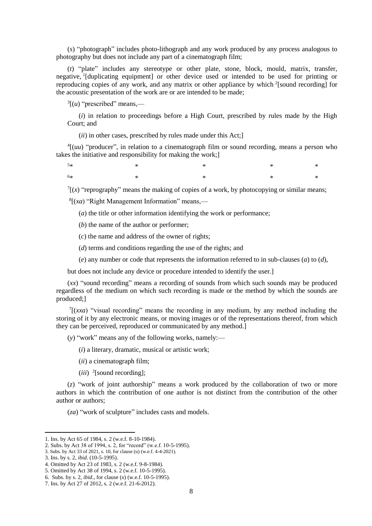(*s*) "photograph" includes photo-lithograph and any work produced by any process analogous to photography but does not include any part of a cinematograph film;

(*t*) "plate" includes any stereotype or other plate, stone, block, mould, matrix, transfer, negative, <sup>1</sup>[duplicating equipment] or other device used or intended to be used for printing or reproducing copies of any work, and any matrix or other appliance by which <sup>2</sup>[sound recording] for the acoustic presentation of the work are or are intended to be made;

 $3[(u)$  "prescribed" means,—

(*i*) in relation to proceedings before a High Court, prescribed by rules made by the High Court; and

(*ii*) in other cases, prescribed by rules made under this Act;]

 $<sup>4</sup>$ [(*uu*) "producer", in relation to a cinematograph film or sound recording, means a person who</sup> takes the initiative and responsibility for making the work;]

 $5*$  \*  $\ast$  \*  $\ast$  \*  $\ast$  $\ast$  \*  $\ast$  \*  $\ast$  \*  $\ast$ 

 $T(x)$  "reprography" means the making of copies of a work, by photocopying or similar means;

8 [(*xa*) "Right Management Information" means,—

(*a*) the title or other information identifying the work or performance;

(*b*) the name of the author or performer;

(*c*) the name and address of the owner of rights;

(*d*) terms and conditions regarding the use of the rights; and

(*e*) any number or code that represents the information referred to in sub-clauses (*a*) to (*d*),

but does not include any device or procedure intended to identify the user.]

(*xx*) "sound recording" means a recording of sounds from which such sounds may be produced regardless of the medium on which such recording is made or the method by which the sounds are produced;]

 $T(xxa)$  "visual recording" means the recording in any medium, by any method including the storing of it by any electronic means, or moving images or of the representations thereof, from which they can be perceived, reproduced or communicated by any method.]

(*y*) "work" means any of the following works, namely:—

(*i*) a literary, dramatic, musical or artistic work;

- (*ii*) a cinematograph film;
- (*iii*) 2 [sound recording];

(*z*) "work of joint authorship" means a work produced by the collaboration of two or more authors in which the contribution of one author is not distinct from the contribution of the other author or authors;

(*za*) "work of sculpture" includes casts and models.

<sup>1.</sup> Ins. by Act 65 of 1984, s. 2 (w.e.f. 8-10-1984).

<sup>2.</sup> Subs. by Act 38 of 1994, s. 2, for "record" (w.e.f. 10-5-1995).

<sup>3.</sup> Subs. by Act 33 of 2021, s. 10, for clause (u) (w.e.f. 4-4-2021).

<sup>3.</sup> Ins. by s. 2, *ibid*. (10-5-1995).

<sup>4.</sup> Omitted by Act 23 of 1983, s. 2 (w.e.f. 9-8-1984).

<sup>5.</sup> Omitted by Act 38 of 1994, s. 2 (w.e.f. 10-5-1995). 6. Subs. by s. 2, *ibid*., for clause (*x*) (w.e.f. 10-5-1995).

<sup>7.</sup> Ins. by Act 27 of 2012, s. 2 (w.e.f. 21-6-2012).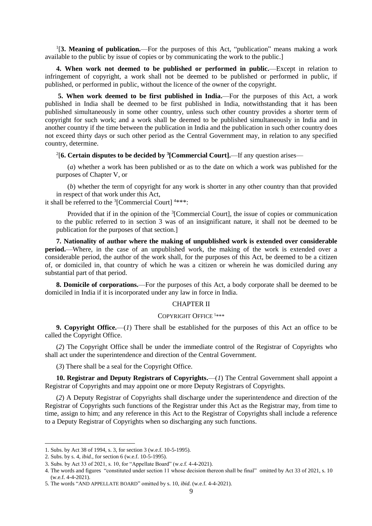<sup>1</sup>[3. Meaning of publication.—For the purposes of this Act, "publication" means making a work available to the public by issue of copies or by communicating the work to the public.]

**4. When work not deemed to be published or performed in public.**—Except in relation to infringement of copyright, a work shall not be deemed to be published or performed in public, if published, or performed in public, without the licence of the owner of the copyright.

**5. When work deemed to be first published in India.**—For the purposes of this Act, a work published in India shall be deemed to be first published in India, notwithstanding that it has been published simultaneously in some other country, unless such other country provides a shorter term of copyright for such work; and a work shall be deemed to be published simultaneously in India and in another country if the time between the publication in India and the publication in such other country does not exceed thirty days or such other period as the Central Government may, in relation to any specified country, determine.

2 [**6. Certain disputes to be decided by <sup>3</sup> [Commercial Court].**—If any question arises—

(*a*) whether a work has been published or as to the date on which a work was published for the purposes of Chapter V, or

(*b*) whether the term of copyright for any work is shorter in any other country than that provided in respect of that work under this Act,

it shall be referred to the <sup>3</sup>[Commercial Court]<sup>4\*\*\*</sup>:

Provided that if in the opinion of the <sup>3</sup>[Commercial Court], the issue of copies or communication to the public referred to in section 3 was of an insignificant nature, it shall not be deemed to be publication for the purposes of that section.]

**7. Nationality of author where the making of unpublished work is extended over considerable period.**—Where, in the case of an unpublished work, the making of the work is extended over a considerable period, the author of the work shall, for the purposes of this Act, be deemed to be a citizen of, or domiciled in, that country of which he was a citizen or wherein he was domiciled during any substantial part of that period.

**8. Domicile of corporations.**—For the purposes of this Act, a body corporate shall be deemed to be domiciled in India if it is incorporated under any law in force in India.

## CHAPTER II

#### COPYRIGHT OFFICE <sup>5</sup>\*\*\*

**9. Copyright Office.**—(*1*) There shall be established for the purposes of this Act an office to be called the Copyright Office.

(*2*) The Copyright Office shall be under the immediate control of the Registrar of Copyrights who shall act under the superintendence and direction of the Central Government.

(*3*) There shall be a seal for the Copyright Office.

**10. Registrar and Deputy Registrars of Copyrights.**—(*1*) The Central Government shall appoint a Registrar of Copyrights and may appoint one or more Deputy Registrars of Copyrights.

(*2*) A Deputy Registrar of Copyrights shall discharge under the superintendence and direction of the Registrar of Copyrights such functions of the Registrar under this Act as the Registrar may, from time to time, assign to him; and any reference in this Act to the Registrar of Copyrights shall include a reference to a Deputy Registrar of Copyrights when so discharging any such functions.

<sup>1.</sup> Subs. by Act 38 of 1994, s. 3, for section 3 (w.e.f. 10-5-1995).

<sup>2.</sup> Subs. by s. 4, *ibid.,* for section 6 (w.e.f. 10-5-1995).

<sup>3</sup>. Subs. by Act 33 of 2021, s. 10, for "Appellate Board" (w.e.f. 4-4-2021).

<sup>4.</sup> The words and figures "constituted under section 11 whose decision thereon shall be final" omitted by Act 33 of 2021, s. 10 (w.e.f. 4-4-2021).

<sup>5.</sup> The words "AND APPELLATE BOARD" omitted by s. 10, *ibid.* (w.e.f. 4-4-2021).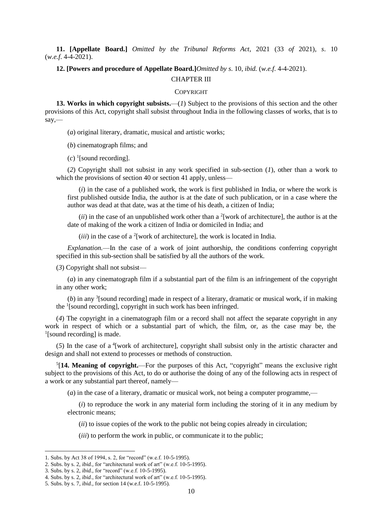**11. [Appellate Board.]** *Omitted by the Tribunal Reforms Act*, 2021 (33 *of* 2021), *s*. 10 (*w.e.f*. 4-4-2021).

#### **12. [Powers and procedure of Appellate Board.]***Omitted by s*. 10, *ibid.* (*w.e.f*. 4-4-2021).

## CHAPTER III

### **COPYRIGHT**

**13. Works in which copyright subsists.**—(*1*) Subject to the provisions of this section and the other provisions of this Act, copyright shall subsist throughout India in the following classes of works, that is to say,—

(*a*) original literary, dramatic, musical and artistic works;

(*b*) cinematograph films; and

 $(c)$ <sup>1</sup>[sound recording].

(*2*) Copyright shall not subsist in any work specified in sub-section (*1*), other than a work to which the provisions of section 40 or section 41 apply, unless—

(*i*) in the case of a published work, the work is first published in India, or where the work is first published outside India, the author is at the date of such publication, or in a case where the author was dead at that date, was at the time of his death, a citizen of India;

 $(ii)$  in the case of an unpublished work other than a <sup>2</sup>[work of architecture], the author is at the date of making of the work a citizen of India or domiciled in India; and

 $(iii)$  in the case of a <sup>2</sup>[\[](http://www.manupatrafast.in/ba/dispBotC.aspx?nActCompID=190655&iActID=4767#s13f1)work of architecture], the work is located in India.

*Explanation.*—In the case of a work of joint authorship, the conditions conferring copyright specified in this sub-section shall be satisfied by all the authors of the work.

(*3*) Copyright shall not subsist—

(*a*) in any cinematograph film if a substantial part of the film is an infringement of the copyright in any other work;

 $(b)$  in any <sup>3</sup>[sound recording] made in respect of a literary, dramatic or musical work, if in making the <sup>[1](http://www.manupatrafast.in/ba/dispBotC.aspx?nActCompID=190655&iActID=4767#s13f1)</sup>[sound recording], copyright in such work has been infringed.

(*4*) The copyright in a cinematograph film or a record shall not affect the separate copyright in any work in respect of which or a substantial part of which, the film, or, as the case may be, the <sup>1</sup>[\[](http://www.manupatrafast.in/ba/dispBotC.aspx?nActCompID=190655&iActID=4767#s13f1)sound recording] is made.

(*5*) In the case of a <sup>4</sup> [work of architecture], copyright shall subsist only in the artistic character and design and shall not extend to processes or methods of construction.

<sup>5</sup>[14. Meaning of copyright.—For the purposes of this Act, "copyright" means the exclusive right subject to the provisions of this Act, to do or authorise the doing of any of the following acts in respect of a work or any substantial part thereof, namely—

(*a*) in the case of a literary, dramatic or musical work, not being a computer programme,—

(*i*) to reproduce the work in any material form including the storing of it in any medium by electronic means;

(*ii*) to issue copies of the work to the public not being copies already in circulation;

(*iii*) to perform the work in public, or communicate it to the public;

<sup>1.</sup> Subs. by Act 38 of 1994, s. 2, for "record" (w.e.f. 10-5-1995).

<sup>2.</sup> Subs. by s. 2, *ibid.,* for "architectural work of art" (w.e.f. 10-5-1995).

<sup>3.</sup> Subs. by s. 2, *ibid.,* for "record" (w.e.f. 10-5-1995).

<sup>4.</sup> Subs. by s. 2, *ibid*., for "architectural work of art" (w.e.f. 10-5-1995).

<sup>5.</sup> Subs. by s. 7*, ibid.,* for section 14 (w.e.f. 10-5-1995).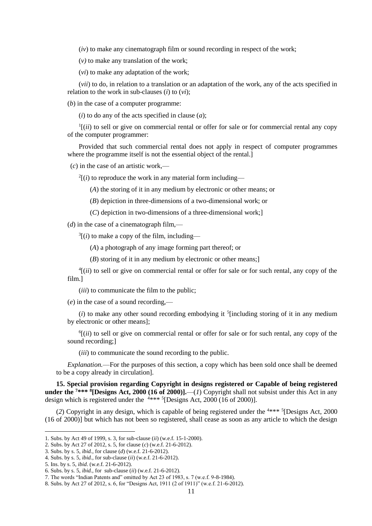(*iv*) to make any cinematograph film or sound recording in respect of the work;

(*v)* to make any translation of the work;

(*vi*) to make any adaptation of the work;

(*vii*) to do, in relation to a translation or an adaptation of the work, any of the acts specified in relation to the work in sub-clauses (*i*) to (*vi*);

(*b*) in the case of a computer programme:

(*i*) to do any of the acts specified in clause (*a*);

 $\frac{1}{i}$ [(*ii*) to sell or give on commercial rental or offer for sale or for commercial rental any copy of the computer programmer:

Provided that such commercial rental does not apply in respect of computer programmes where the programme itself is not the essential object of the rental.

(*c*) in the case of an artistic work,—

 $2[(i)$  to reproduce the work in any material form including—

(*A*) the storing of it in any medium by electronic or other means; or

(*B*) depiction in three-dimensions of a two-dimensional work; or

(*C*) depiction in two-dimensions of a three-dimensional work;]

(*d*) in the case of a cinematograph film,—

 $3[(i)$  to make a copy of the film, including—

(*A*) a photograph of any image forming part thereof; or

(*B*) storing of it in any medium by electronic or other means;]

4 [(*ii*) to sell or give on commercial rental or offer for sale or for such rental, any copy of the film.]

(*iii*) to communicate the film to the public;

(*e*) in the case of a sound recording,—

 $(i)$  to make any other sound recording embodying it <sup>5</sup>[including storing of it in any medium by electronic or other means];

 $<sup>6</sup>$ [(*ii*) to sell or give on commercial rental or offer for sale or for such rental, any copy of the</sup> sound recording;]

(*iii*) to communicate the sound recording to the public.

*Explanation.*—For the purposes of this section, a copy which has been sold once shall be deemed to be a copy already in circulation].

**15. Special provision regarding Copyright in designs registered or Capable of being registered under the <sup>7</sup>\*\*\* <sup>8</sup> [Designs Act, 2000 (16 of 2000)].**—(*1*) Copyright shall not subsist under this Act in any design which is registered under the <sup>4\*\*\*</sup> <sup>5</sup>[Designs Act, 2000 (16 of 2000)].

(*2*) Copyright in any design, which is capable of being registered under the <sup>4</sup>\*\*\* <sup>5</sup> [Designs Act, 2000 (16 of 2000)] but which has not been so registered, shall cease as soon as any article to which the design

<sup>1.</sup> Subs. by Act 49 of 1999, s. 3, for sub-clause (*ii*) (w.e.f. 15-1-2000).

<sup>2.</sup> Subs. by Act 27 of 2012, s. 5, for clause (*c*) (w.e.f. 21-6-2012).

<sup>3.</sup> Subs. by s. 5, *ibid.*, for clause (*d*) (w.e.f. 21-6-2012).

<sup>4.</sup> Subs. by s. 5, *ibid.*, for sub-clause (*ii*) (w.e.f. 21-6-2012).

<sup>5.</sup> Ins. by s. 5, *ibid*. (w.e.f. 21-6-2012).

<sup>6.</sup> Subs. by s. 5, *ibid.,* for sub-clause (*ii*) (w.e.f. 21-6-2012).

<sup>7.</sup> The words "Indian Patents and" omitted by Act 23 of 1983, s. 7 (w.e.f. 9-8-1984).

<sup>8.</sup> Subs. by Act 27 of 2012, s. 6, for "Designs Act, 1911 (2 of 1911)" (w.e.f. 21-6-2012).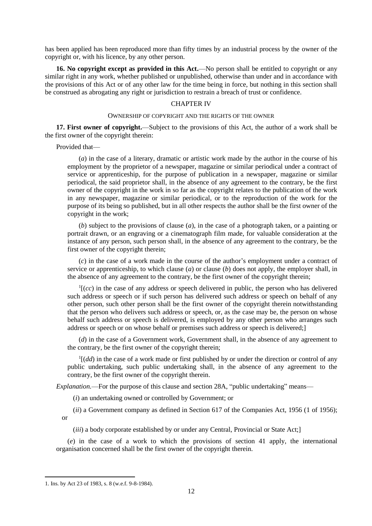has been applied has been reproduced more than fifty times by an industrial process by the owner of the copyright or, with his licence, by any other person.

**16. No copyright except as provided in this Act.**—No person shall be entitled to copyright or any similar right in any work, whether published or unpublished, otherwise than under and in accordance with the provisions of this Act or of any other law for the time being in force, but nothing in this section shall be construed as abrogating any right or jurisdiction to restrain a breach of trust or confidence.

## CHAPTER IV

### OWNERSHIP OF COPYRIGHT AND THE RIGHTS OF THE OWNER

**17. First owner of copyright.**—Subject to the provisions of this Act, the author of a work shall be the first owner of the copyright therein:

Provided that—

(*a*) in the case of a literary, dramatic or artistic work made by the author in the course of his employment by the proprietor of a newspaper, magazine or similar periodical under a contract of service or apprenticeship, for the purpose of publication in a newspaper, magazine or similar periodical, the said proprietor shall, in the absence of any agreement to the contrary, be the first owner of the copyright in the work in so far as the copyright relates to the publication of the work in any newspaper, magazine or similar periodical, or to the reproduction of the work for the purpose of its being so published, but in all other respects the author shall be the first owner of the copyright in the work;

(*b*) subject to the provisions of clause (*a*), in the case of a photograph taken, or a painting or portrait drawn, or an engraving or a cinematograph film made, for valuable consideration at the instance of any person, such person shall, in the absence of any agreement to the contrary, be the first owner of the copyright therein;

(*c*) in the case of a work made in the course of the author's employment under a contract of service or apprenticeship, to which clause (*a*) or clause (*b*) does not apply, the employer shall, in the absence of any agreement to the contrary, be the first owner of the copyright therein;

 $\frac{1}{1}(cc)$  in the case of any address or speech delivered in public, the person who has delivered such address or speech or if such person has delivered such address or speech on behalf of any other person, such other person shall be the first owner of the copyright therein notwithstanding that the person who delivers such address or speech, or, as the case may be, the person on whose behalf such address or speech is delivered, is employed by any other person who arranges such address or speech or on whose behalf or premises such address or speech is delivered;]

(*d*) in the case of a Government work, Government shall, in the absence of any agreement to the contrary, be the first owner of the copyright therein;

 $<sup>1</sup>$ [(*dd*) in the case of a work made or first published by or under the direction or control of any</sup> public undertaking, such public undertaking shall, in the absence of any agreement to the contrary, be the first owner of the copyright therein.

*Explanation.*—For the purpose of this clause and section 28A, "public undertaking" means—

(*i*) an undertaking owned or controlled by Government; or

(*ii*) a Government company as defined in Section 617 of the Companies Act, 1956 (1 of 1956); or

(*iii*) a body corporate established by or under any Central, Provincial or State Act;]

(*e*) in the case of a work to which the provisions of section 41 apply, the international organisation concerned shall be the first owner of the copyright therein.

<sup>1.</sup> Ins. by Act 23 of 1983, s. 8 (w.e.f. 9-8-1984).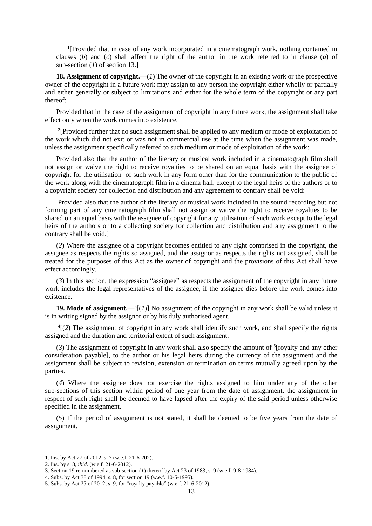<sup>1</sup>[Provided that in case of any work incorporated in a cinematograph work, nothing contained in clauses (*b*) and (*c*) shall affect the right of the author in the work referred to in clause (*a*) of sub-section (*1*) of section 13.]

**18. Assignment of copyright.**—(*1*) The owner of the copyright in an existing work or the prospective owner of the copyright in a future work may assign to any person the copyright either wholly or partially and either generally or subject to limitations and either for the whole term of the copyright or any part thereof:

Provided that in the case of the assignment of copyright in any future work, the assignment shall take effect only when the work comes into existence.

<sup>2</sup>[Provided further that no such assignment shall be applied to any medium or mode of exploitation of the work which did not exit or was not in commercial use at the time when the assignment was made, unless the assignment specifically referred to such medium or mode of exploitation of the work:

Provided also that the author of the literary or musical work included in a cinematograph film shall not assign or waive the right to receive royalties to be shared on an equal basis with the assignee of copyright for the utilisation of such work in any form other than for the communication to the public of the work along with the cinematograph film in a cinema hall, except to the legal heirs of the authors or to a copyright society for collection and distribution and any agreement to contrary shall be void:

Provided also that the author of the literary or musical work included in the sound recording but not forming part of any cinematograph film shall not assign or waive the right to receive royalties to be shared on an equal basis with the assignee of copyright for any utilisation of such work except to the legal heirs of the authors or to a collecting society for collection and distribution and any assignment to the contrary shall be void.]

(*2*) Where the assignee of a copyright becomes entitled to any right comprised in the copyright, the assignee as respects the rights so assigned, and the assignor as respects the rights not assigned, shall be treated for the purposes of this Act as the owner of copyright and the provisions of this Act shall have effect accordingly.

(*3*) In this section, the expression "assignee" as respects the assignment of the copyright in any future work includes the legal representatives of the assignee, if the assignee dies before the work comes into existence.

**19. Mode of assignment.**  $-3[(1)]$  No assignment of the copyright in any work shall be valid unless it is in writing signed by the assignor or by his duly authorised agent.

 $^{4}$ [(2) The assignment of copyright in any work shall identify such work, and shall specify the rights assigned and the duration and territorial extent of such assignment.

(3) The assignment of copyright in any work shall also specify the amount of  $5$ [royalty and any other consideration payable], to the author or his legal heirs during the currency of the assignment and the assignment shall be subject to revision, extension or termination on terms mutually agreed upon by the parties.

(*4*) Where the assignee does not exercise the rights assigned to him under any of the other sub-sections of this section within period of one year from the date of assignment, the assignment in respect of such right shall be deemed to have lapsed after the expiry of the said period unless otherwise specified in the assignment.

(*5*) If the period of assignment is not stated, it shall be deemed to be five years from the date of assignment.

<sup>1.</sup> Ins. by Act 27 of 2012, s. 7 (w.e.f. 21-6-202).

<sup>2.</sup> Ins. by s. 8, *ibid*. (w.e.f. 21-6-2012).

<sup>3.</sup> Section 19 re-numbered as sub-section (*1*) thereof by Act 23 of 1983, s. 9 (w.e.f. 9-8-1984).

<sup>4.</sup> Subs. by Act 38 of 1994, s. 8, for section 19 (w.e.f. 10-5-1995).

<sup>5.</sup> Subs. by Act 27 of 2012, s. 9, for "royalty payable" (w.e.f. 21-6-2012).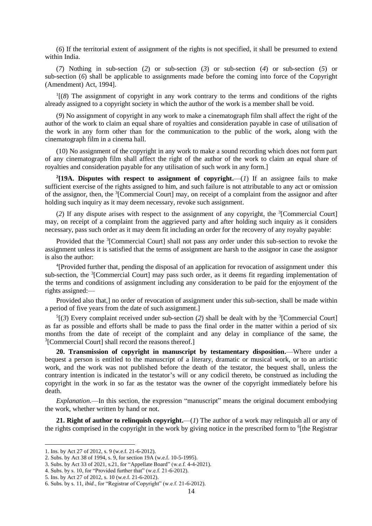(*6*) If the territorial extent of assignment of the rights is not specified, it shall be presumed to extend within India.

(*7*) Nothing in sub-section (*2*) or sub-section (*3*) or sub-section (*4*) or sub-section (*5*) or sub-section (*6*) shall be applicable to assignments made before the coming into force of the Copyright (Amendment) Act, 1994].

 $<sup>1</sup>[(8)$  The assignment of copyright in any work contrary to the terms and conditions of the rights</sup> already assigned to a copyright society in which the author of the work is a member shall be void.

(*9*) No assignment of copyright in any work to make a cinematograph film shall affect the right of the author of the work to claim an equal share of royalties and consideration payable in case of utilisation of the work in any form other than for the communication to the public of the work, along with the cinematograph film in a cinema hall.

(10) No assignment of the copyright in any work to make a sound recording which does not form part of any cinematograph film shall affect the right of the author of the work to claim an equal share of royalties and consideration payable for any utilisation of such work in any form.]

<sup>2</sup>[19A. Disputes with respect to assignment of copyright.— $(l)$  If an assignee fails to make sufficient exercise of the rights assigned to him, and such failure is not attributable to any act or omission of the assignor, then, the <sup>3</sup>[Commercial Court] may, on receipt of a complaint from the assignor and after holding such inquiry as it may deem necessary, revoke such assignment.

(2) If any dispute arises with respect to the assignment of any copyright, the  ${}^{3}$ [Commercial Court] may, on receipt of a complaint from the aggrieved party and after holding such inquiry as it considers necessary, pass such order as it may deem fit including an order for the recovery of any royalty payable:

Provided that the <sup>3</sup>[Commercial Court] shall not pass any order under this sub-section to revoke the assignment unless it is satisfied that the terms of assignment are harsh to the assignor in case the assignor is also the author:

4 [Provided further that, pending the disposal of an application for revocation of assignment under this sub-section, the <sup>3</sup>[Commercial Court] may pass such order, as it deems fit regarding implementation of the terms and conditions of assignment including any consideration to be paid for the enjoyment of the rights assigned:—

Provided also that,] no order of revocation of assignment under this sub-section, shall be made within a period of five years from the date of such assignment.]

 ${}^5(3)$  Every complaint received under sub-section (2) shall be dealt with by the  ${}^3$ [Commercial Court] as far as possible and efforts shall be made to pass the final order in the matter within a period of six months from the date of receipt of the complaint and any delay in compliance of the same, the <sup>3</sup>[Commercial Court] shall record the reasons thereof.]

**20. Transmission of copyright in manuscript by testamentary disposition.**—Where under a bequest a person is entitled to the manuscript of a literary, dramatic or musical work, or to an artistic work, and the work was not published before the death of the testator, the bequest shall, unless the contrary intention is indicated in the testator's will or any codicil thereto, be construed as including the copyright in the work in so far as the testator was the owner of the copyright immediately before his death.

*Explanation.*—In this section, the expression "manuscript" means the original document embodying the work, whether written by hand or not.

**21. Right of author to relinquish copyright.**—(*1*) The author of a work may relinquish all or any of the rights comprised in the copyright in the work by giving notice in the prescribed form to <sup>6</sup>[the Registrar

<sup>1.</sup> Ins. by Act 27 of 2012, s. 9 (w.e.f. 21-6-2012).

<sup>2.</sup> Subs. by Act 38 of 1994, s. 9, for section 19A (w.e.f. 10-5-1995).

<sup>3.</sup> Subs. by Act 33 of 2021, s.21, for "Appellate Board" (w.e.f. 4-4-2021).

<sup>4.</sup> Subs. by s. 10, for "Provided further that" (w.e.f. 21-6-2012).

<sup>5.</sup> Ins. by Act 27 of 2012, s. 10 (w.e.f. 21-6-2012).

<sup>6.</sup> Subs. by s. 11, *ibid*., for "Registrar of Copyright" (w.e.f. 21-6-2012).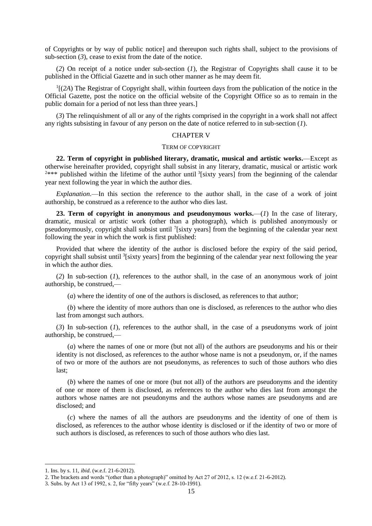of Copyrights or by way of public notice] and thereupon such rights shall, subject to the provisions of sub-section (3), cease to exist from the date of the notice.

(*2*) On receipt of a notice under sub-section (*1*), the Registrar of Copyrights shall cause it to be published in the Official Gazette and in such other manner as he may deem fit.

<sup>1</sup>[(2A) The Registrar of Copyright shall, within fourteen days from the publication of the notice in the Official Gazette, post the notice on the official website of the Copyright Office so as to remain in the public domain for a period of not less than three years.]

(*3*) The relinquishment of all or any of the rights comprised in the copyright in a work shall not affect any rights subsisting in favour of any person on the date of notice referred to in sub-section (*1*).

## CHAPTER V

#### TERM OF COPYRIGHT

**22. Term of copyright in published literary, dramatic, musical and artistic works.**—Except as otherwise hereinafter provided, copyright shall subsist in any literary, dramatic, musical or artistic work <sup>2\*\*\*</sup> published within the lifetime of the author until  $\frac{3}{1}$  sixty years] from the beginning of the calendar year next following the year in which the author dies.

*Explanation*.—In this section the reference to the author shall, in the case of a work of joint authorship, be construed as a reference to the author who dies last.

**23. Term of copyright in anonymous and pseudonymous works.**—(*1*) In the case of literary, dramatic, musical or artistic work (other than a photograph), which is published anonymously or pseudonymously, copyright shall subsist until <sup>7</sup>[sixty years] from the beginning of the calendar year next following the year in which the work is first published:

Provided that where the identity of the author is disclosed before the expiry of the said period, copyright shall subsist until  $3$ [\[](http://www.manupatrafast.in/ba/dispBotC.aspx?nActCompID=190668&iActID=4767#s23f1)sixty years] from the beginning of the calendar year next following the year in which the author dies.

(*2*) In sub-section (*1*), references to the author shall, in the case of an anonymous work of joint authorship, be construed,—

(*a*) where the identity of one of the authors is disclosed, as references to that author;

(*b*) where the identity of more authors than one is disclosed, as references to the author who dies last from amongst such authors.

(*3*) In sub-section (*1*), references to the author shall, in the case of a pseudonyms work of joint authorship, be construed,—

(*a*) where the names of one or more (but not all) of the authors are pseudonyms and his or their identity is not disclosed, as references to the author whose name is not a pseudonym, or, if the names of two or more of the authors are not pseudonyms, as references to such of those authors who dies last;

(*b*) where the names of one or more (but not all) of the authors are pseudonyms and the identity of one or more of them is disclosed, as references to the author who dies last from amongst the authors whose names are not pseudonyms and the authors whose names are pseudonyms and are disclosed; and

(*c*) where the names of all the authors are pseudonyms and the identity of one of them is disclosed, as references to the author whose identity is disclosed or if the identity of two or more of such authors is disclosed, as references to such of those authors who dies last.

<sup>1.</sup> Ins. by s. 11, *ibid*. (w.e.f. 21-6-2012).

<sup>2.</sup> The brackets and words "(other than a photograph)" omitted by Act 27 of 2012, s. 12 (w.e.f. 21-6-2012).

<sup>3.</sup> Subs. by Act 13 of 1992, s. 2, for "fifty years" (w.e.f. 28-10-1991).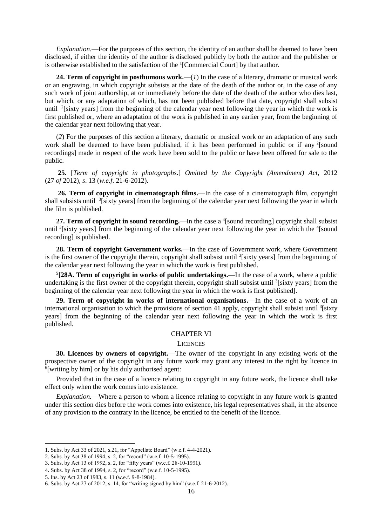*Explanation*.—For the purposes of this section, the identity of an author shall be deemed to have been disclosed, if either the identity of the author is disclosed publicly by both the author and the publisher or is otherwise established to the satisfaction of the  ${}^{1}$ [Commercial Court] by that author.

**24. Term of copyright in posthumous work.**—(*1*) In the case of a literary, dramatic or musical work or an engraving, in which copyright subsists at the date of the death of the author or, in the case of any such work of joint authorship, at or immediately before the date of the death of the author who dies last. but which, or any adaptation of which, has not been published before that date, copyright shall subsist until  $2$ [sixty years] from the beginning of the calendar year next following the year in which the work is first published or, where an adaptation of the work is published in any earlier year, from the beginning of the calendar year next following that year.

(*2*) For the purposes of this section a literary, dramatic or musical work or an adaptation of any such work shall be deemed to have been published, if it has been performed in public or if any <sup>2</sup>[sound recordings] made in respect of the work have been sold to the public or have been offered for sale to the public.

**25.** [*Term of copyright in photographs***.**] *Omitted by the Copyright (Amendment) Act*, 2012 (27 *of* 2012), *s*. 13 (*w.e.f*. 21-6-2012).

**26. Term of copyright in cinematograph films.**—In the case of a cinematograph film, copyright shall subsists until <sup>3</sup>[sixty years] from the beginning of the calendar year next following the year in which the film is published.

27. Term of copyright in sound recording.—In the case a <sup>4</sup>[sound recording] copyright shall subsist until  $3$ [\[](http://www.manupatrafast.in/ba/dispBotC.aspx?nActCompID=190672&iActID=4767#s27f1)sixty years] from the beginning of the calendar year next following the year in which the  $4$ [sound recording] is published.

**28. Term of copyright Government works.**—In the case of Government work, where Government is the first owner of the copyright therein, copyright shall subsist until <sup>3</sup>[sixty years] from the beginning of the calendar year next following the year in which the work is first published.

**5 [28A. Term of copyright in works of public undertakings.**—In the case of a work, where a public undertaking is the first owner of the copyright therein, copyright shall subsist until <sup>3</sup>[sixty years] from the beginning of the calendar year next following the year in which the work is first published].

**29. Term of copyright in works of international organisations.**—In the case of a work of an international organisation to which the provisions of section 41 apply, copyright shall subsist until <sup>[3](http://www.manupatrafast.in/ba/dispBotC.aspx?nActCompID=190675&iActID=4767#s29f1)</sup>[sixty years] from the beginning of the calendar year next following the year in which the work is first published.

## CHAPTER VI

### **LICENCES**

**30. Licences by owners of copyright.**—The owner of the copyright in any existing work of the prospective owner of the copyright in any future work may grant any interest in the right by licence in 6 [writing by him] or by his duly authorised agent:

Provided that in the case of a licence relating to copyright in any future work, the licence shall take effect only when the work comes into existence.

*Explanation.*—Where a person to whom a licence relating to copyright in any future work is granted under this section dies before the work comes into existence, his legal representatives shall, in the absence of any provision to the contrary in the licence, be entitled to the benefit of the licence.

<sup>1.</sup> Subs. by Act 33 of 2021, s.21, for "Appellate Board" (w.e.f. 4-4-2021).

<sup>2.</sup> Subs. by Act 38 of 1994, s. 2, for "record" (w.e.f. 10-5-1995).

<sup>3.</sup> Subs. by Act 13 of 1992, s. 2, for "fifty years" (w.e.f. 28-10-1991).

<sup>4</sup>. Subs. by Act 38 of 1994, s. 2, for "record" (w.e.f. 10-5-1995).

<sup>5.</sup> Ins. by Act 23 of 1983, s. 11 (w.e.f. 9-8-1984).

<sup>6.</sup> Subs. by Act 27 of 2012, s. 14, for "writing signed by him" (w.e.f. 21-6-2012).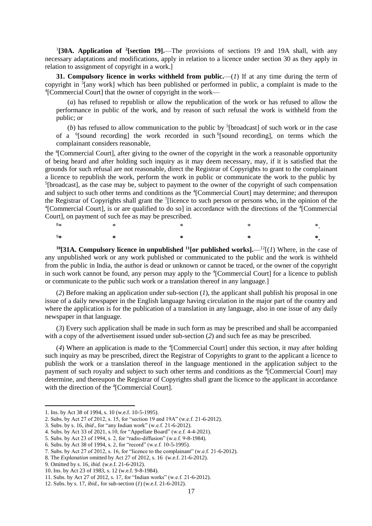<sup>1</sup>[30A. Application of <sup>2</sup>[section 19].—The provisions of sections 19 and 19A shall, with any necessary adaptations and modifications, apply in relation to a licence under section 30 as they apply in relation to assignment of copyright in a work.]

**31. Compulsory licence in works withheld from public.**—(*1*) If at any time during the term of copyright in <sup>3</sup> [any work] which has been published or performed in public, a complaint is made to the <sup>4</sup>[Commercial Court] that the owner of copyright in the work—

(*a*) has refused to republish or allow the republication of the work or has refused to allow the performance in public of the work, and by reason of such refusal the work is withheld from the public; or

(b) has refused to allow communication to the public by  $\frac{5}{2}$  [broadcast] of such work or in the case of a <sup>[6](http://www.manupatrafast.in/ba/dispBotC.aspx?nActCompID=190679&iActID=4767#s31f2)</sup>[sound recording] the work recorded in such <sup>6</sup>[sound recording], on terms which the complainant considers reasonable,

the <sup>4</sup> [Commercial Court], after giving to the owner of the copyright in the work a reasonable opportunity of being heard and after holding such inquiry as it may deem necessary, may, if it is satisfied that the grounds for such refusal are not reasonable, direct the Registrar of Copyrights to grant to the complainant a licence to republish the work, perform the work in public or communicate the work to the public by <sup>5</sup>[broadcast], as the case may be, subject to payment to the owner of the copyright of such compensation and subject to such other terms and conditions as the <sup>4</sup>[Commercial Court] may determine; and thereupon the Registrar of Copyrights shall grant the  $\frac{7}{1}$  [licence to such person or persons who, in the opinion of the <sup>4</sup>[Commercial Court], is or are qualified to do so] in accordance with the directions of the <sup>4</sup>[Commercial Court], on payment of such fee as may be prescribed.

|  | $\begin{matrix} 8* & * & * \end{matrix}$                                                                                                                                                                                                   |  |
|--|--------------------------------------------------------------------------------------------------------------------------------------------------------------------------------------------------------------------------------------------|--|
|  | $\mathcal{G}_{\mathscr{X}}$ . The contract of the contract of the contract of the contract of the contract of the contract of the contract of the contract of the contract of the contract of the contract of the contract of the contract |  |

<sup>10</sup>[31A. Compulsory licence in unpublished <sup>11</sup>[or published works].— $\frac{12}{(1)}$  Where, in the case of any unpublished work or any work published or communicated to the public and the work is withheld from the public in India, the author is dead or unknown or cannot be traced, or the owner of the copyright in such work cannot be found, any person may apply to the <sup>4</sup>[Commercial Court] for a licence to publish or communicate to the public such work or a translation thereof in any language.]

(*2*) Before making an application under sub-section (*1*), the applicant shall publish his proposal in one issue of a daily newspaper in the English language having circulation in the major part of the country and where the application is for the publication of a translation in any language, also in one issue of any daily newspaper in that language.

(*3*) Every such application shall be made in such form as may be prescribed and shall be accompanied with a copy of the advertisement issued under sub-section (*2*) and such fee as may be prescribed.

(4) Where an application is made to the <sup>4</sup>[Commercial Court] under this section, it may after holding such inquiry as may be prescribed, direct the Registrar of Copyrights to grant to the applicant a licence to publish the work or a translation thereof in the language mentioned in the application subject to the payment of such royalty and subject to such other terms and conditions as the <sup>4</sup>[Commercial Court] may determine, and thereupon the Registrar of Copyrights shall grant the licence to the applicant in accordance with the direction of the <sup>4</sup>[Commercial Court].

<sup>1.</sup> Ins. by Act 38 of 1994, s. 10 (w.e.f. 10-5-1995).

<sup>2.</sup> Subs. by Act 27 of 2012, s. 15, for "section 19 and 19A" (w.e.f. 21-6-2012).

<sup>3.</sup> Subs. by s. 16, *ibid*., for "any Indian work" (w.e.f. 21-6-2012).

<sup>4.</sup> Subs. by Act 33 of 2021, s.10, for "Appellate Board" (w.e.f. 4-4-2021).

<sup>5.</sup> Subs. by Act 23 of 1994, s. 2, for "radio-diffusion" (w.e.f. 9-8-1984).

<sup>6.</sup> Subs. by Act 38 of 1994, s. 2, for "record" (w.e.f. 10-5-1995).

<sup>7.</sup> Subs. by Act 27 of 2012, s. 16, for "licence to the complainant" (w.e.f. 21-6-2012).

<sup>8.</sup> The *Explanation* omitted by Act 27 of 2012, s. 16 (w.e.f. 21-6-2012).

<sup>9.</sup> Omitted by s. 16, *ibid.* (w.e.f. 21-6-2012).

<sup>10.</sup> Ins. by Act 23 of 1983, s. 12 (w.e.f. 9-8-1984).

<sup>11.</sup> Subs. by Act 27 of 2012, s. 17, for "Indian works" (w.e.f. 21-6-2012).

<sup>12.</sup> Subs. by s. 17, *ibid.,* for sub-section (*1*) (w.e.f. 21-6-2012).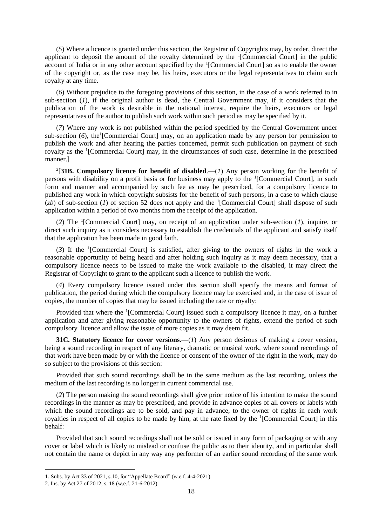(*5*) Where a licence is granted under this section, the Registrar of Copyrights may, by order, direct the applicant to deposit the amount of the royalty determined by the  ${}^{1}$ [Commercial Court] in the public account of India or in any other account specified by the <sup>1</sup>[Commercial Court] so as to enable the owner of the copyright or, as the case may be, his heirs, executors or the legal representatives to claim such royalty at any time.

(*6*) Without prejudice to the foregoing provisions of this section, in the case of a work referred to in sub-section (*1*), if the original author is dead, the Central Government may, if it considers that the publication of the work is desirable in the national interest, require the heirs, executors or legal representatives of the author to publish such work within such period as may be specified by it.

(*7*) Where any work is not published within the period specified by the Central Government under  $sub-section (6)$ , the<sup>1</sup>[Commercial Court] may, on an application made by any person for permission to publish the work and after hearing the parties concerned, permit such publication on payment of such royalty as the <sup>1</sup>[Commercial Court] may, in the circumstances of such case, determine in the prescribed manner.]

<sup>2</sup>[31B. Compulsory licence for benefit of disabled.—(*1*) Any person working for the benefit of persons with disability on a profit basis or for business may apply to the <sup>1</sup>[Commercial Court], in such form and manner and accompanied by such fee as may be prescribed, for a compulsory licence to published any work in which copyright subsists for the benefit of such persons, in a case to which clause  $(zb)$  of sub-section (*1*) of section 52 does not apply and the <sup>1</sup>[Commercial Court] shall dispose of such application within a period of two months from the receipt of the application.

(*2*) The <sup>1</sup> [Commercial Court] may, on receipt of an application under sub-section (*1*), inquire, or direct such inquiry as it considers necessary to establish the credentials of the applicant and satisfy itself that the application has been made in good faith.

(*3*) If the <sup>1</sup> [Commercial Court] is satisfied, after giving to the owners of rights in the work a reasonable opportunity of being heard and after holding such inquiry as it may deem necessary, that a compulsory licence needs to be issued to make the work available to the disabled, it may direct the Registrar of Copyright to grant to the applicant such a licence to publish the work.

(*4*) Every compulsory licence issued under this section shall specify the means and format of publication, the period during which the compulsory licence may be exercised and, in the case of issue of copies, the number of copies that may be issued including the rate or royalty:

Provided that where the <sup>1</sup>[Commercial Court] issued such a compulsory licence it may, on a further application and after giving reasonable opportunity to the owners of rights, extend the period of such compulsory licence and allow the issue of more copies as it may deem fit.

**31C. Statutory licence for cover versions.**—(*1*) Any person desirous of making a cover version, being a sound recording in respect of any literary, dramatic or musical work, where sound recordings of that work have been made by or with the licence or consent of the owner of the right in the work, may do so subject to the provisions of this section:

Provided that such sound recordings shall be in the same medium as the last recording, unless the medium of the last recording is no longer in current commercial use.

(*2*) The person making the sound recordings shall give prior notice of his intention to make the sound recordings in the manner as may be prescribed, and provide in advance copies of all covers or labels with which the sound recordings are to be sold, and pay in advance, to the owner of rights in each work royalties in respect of all copies to be made by him, at the rate fixed by the <sup>1</sup>[Commercial Court] in this behalf:

Provided that such sound recordings shall not be sold or issued in any form of packaging or with any cover or label which is likely to mislead or confuse the public as to their identity, and in particular shall not contain the name or depict in any way any performer of an earlier sound recording of the same work

<sup>1</sup>. Subs. by Act 33 of 2021, s.10, for "Appellate Board" (w.e.f. 4-4-2021).

<sup>2.</sup> Ins. by Act 27 of 2012, s. 18 (w.e.f. 21-6-2012).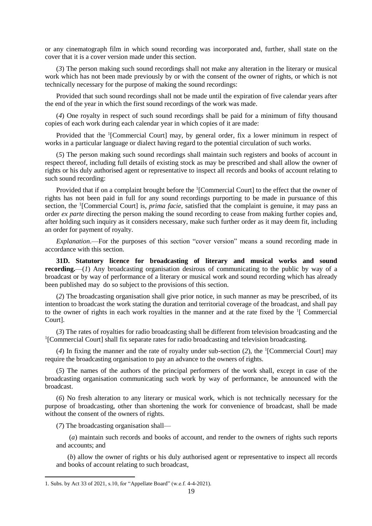or any cinematograph film in which sound recording was incorporated and, further, shall state on the cover that it is a cover version made under this section.

(*3*) The person making such sound recordings shall not make any alteration in the literary or musical work which has not been made previously by or with the consent of the owner of rights, or which is not technically necessary for the purpose of making the sound recordings:

Provided that such sound recordings shall not be made until the expiration of five calendar years after the end of the year in which the first sound recordings of the work was made.

(*4*) One royalty in respect of such sound recordings shall be paid for a minimum of fifty thousand copies of each work during each calendar year in which copies of it are made:

Provided that the <sup>1</sup>[Commercial Court] may, by general order, fix a lower minimum in respect of works in a particular language or dialect having regard to the potential circulation of such works.

(*5*) The person making such sound recordings shall maintain such registers and books of account in respect thereof, including full details of existing stock as may be prescribed and shall allow the owner of rights or his duly authorised agent or representative to inspect all records and books of account relating to such sound recording:

Provided that if on a complaint brought before the <sup>1</sup>[Commercial Court] to the effect that the owner of rights has not been paid in full for any sound recordings purporting to be made in pursuance of this section, the <sup>1</sup>[Commercial Court] is, *prima facie*, satisfied that the complaint is genuine, it may pass an order *ex parte* directing the person making the sound recording to cease from making further copies and, after holding such inquiry as it considers necessary, make such further order as it may deem fit, including an order for payment of royalty.

*Explanation*.—For the purposes of this section "cover version" means a sound recording made in accordance with this section.

**31D. Statutory licence for broadcasting of literary and musical works and sound recording.**—(*1*) Any broadcasting organisation desirous of communicating to the public by way of a broadcast or by way of performance of a literary or musical work and sound recording which has already been published may do so subject to the provisions of this section.

(*2*) The broadcasting organisation shall give prior notice, in such manner as may be prescribed, of its intention to broadcast the work stating the duration and territorial coverage of the broadcast, and shall pay to the owner of rights in each work royalties in the manner and at the rate fixed by the <sup>1</sup>[ Commercial Court].

(*3*) The rates of royalties for radio broadcasting shall be different from television broadcasting and the <sup>1</sup>[Commercial Court] shall fix separate rates for radio broadcasting and television broadcasting.

(4) In fixing the manner and the rate of royalty under sub-section (2), the <sup>1</sup>[Commercial Court] may require the broadcasting organisation to pay an advance to the owners of rights.

(*5*) The names of the authors of the principal performers of the work shall, except in case of the broadcasting organisation communicating such work by way of performance, be announced with the broadcast.

(*6*) No fresh alteration to any literary or musical work, which is not technically necessary for the purpose of broadcasting, other than shortening the work for convenience of broadcast, shall be made without the consent of the owners of rights.

(*7*) The broadcasting organisation shall—

1

(*a*) maintain such records and books of account, and render to the owners of rights such reports and accounts; and

(*b*) allow the owner of rights or his duly authorised agent or representative to inspect all records and books of account relating to such broadcast,

<sup>1.</sup> Subs. by Act 33 of 2021, s.10, for "Appellate Board" (w.e.f. 4-4-2021).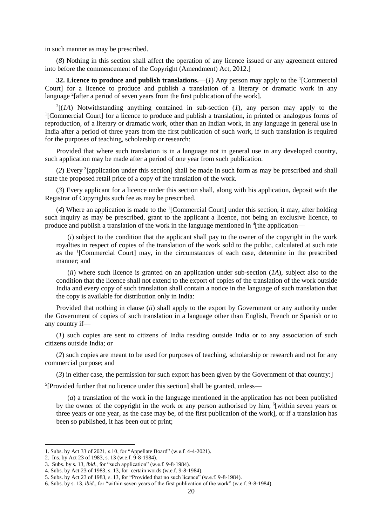in such manner as may be prescribed.

(*8*) Nothing in this section shall affect the operation of any licence issued or any agreement entered into before the commencement of the Copyright (Amendment) Act, 2012.]

**32. Licence to produce and publish translations.—** $(I)$  **Any person may apply to the <sup>1</sup>[Commercial** Court] for a licence to produce and publish a translation of a literary or dramatic work in any language <sup>2</sup> [after a period of seven years from the first publication of the work].

 $2[(1A)$  Notwithstanding anything contained in sub-section (1), any person may apply to the <sup>1</sup>[Commercial Court] for a licence to produce and publish a translation, in printed or analogous forms of reproduction, of a literary or dramatic work, other than an Indian work, in any language in general use in India after a period of three years from the first publication of such work, if such translation is required for the purposes of teaching, scholarship or research:

Provided that where such translation is in a language not in general use in any developed country, such application may be made after a period of one year from such publication.

(*2*) Every <sup>3</sup> [application under this section] shall be made in such form as may be prescribed and shall state the proposed retail price of a copy of the translation of the work.

(*3*) Every applicant for a licence under this section shall, along with his application, deposit with the Registrar of Copyrights such fee as may be prescribed.

(4) Where an application is made to the <sup>1</sup>[Commercial Court] under this section, it may, after holding such inquiry as may be prescribed, grant to the applicant a licence, not being an exclusive licence, to produce and publish a translation of the work in the language mentioned in  $\frac{4}{1}$  (the application—

(*i*) subject to the condition that the applicant shall pay to the owner of the copyright in the work royalties in respect of copies of the translation of the work sold to the public, calculated at such rate as the <sup>1</sup>[Commercial Court] may, in the circumstances of each case, determine in the prescribed manner; and

(*ii*) where such licence is granted on an application under sub-section (*1A*), subject also to the condition that the licence shall not extend to the export of copies of the translation of the work outside India and every copy of such translation shall contain a notice in the language of such translation that the copy is available for distribution only in India:

Provided that nothing in clause (*ii*) shall apply to the export by Government or any authority under the Government of copies of such translation in a language other than English, French or Spanish or to any country if—

(*1*) such copies are sent to citizens of India residing outside India or to any association of such citizens outside India; or

(*2*) such copies are meant to be used for purposes of teaching, scholarship or research and not for any commercial purpose; and

(*3*) in either case, the permission for such export has been given by the Government of that country:]

<sup>5</sup>[Provided further that no licence under this section] shall be granted, unless—

(*a*) a translation of the work in the language mentioned in the application has not been published by the owner of the copyright in the work or any person authorised by him, <sup>6</sup>[within seven years or three years or one year, as the case may be, of the first publication of the work], or if a translation has been so published, it has been out of print;

<sup>1.</sup> Subs. by Act 33 of 2021, s.10, for "Appellate Board" (w.e.f. 4-4-2021).

<sup>2.</sup> Ins. by Act 23 of 1983, s. 13 (w.e.f. 9-8-1984).

<sup>3.</sup> Subs. by s. 13, *ibid*., for "such application" (w.e.f. 9-8-1984).

<sup>4.</sup> Subs. by Act 23 of 1983, s. 13, for certain words (w.e.f. 9-8-1984).

<sup>5.</sup> Subs. by Act 23 of 1983, s. 13, for "Provided that no such licence" (w.e.f. 9-8-1984).

<sup>6.</sup> Subs. by s. 13, *ibid*., for "within seven years of the first publication of the work" (w.e.f. 9-8-1984).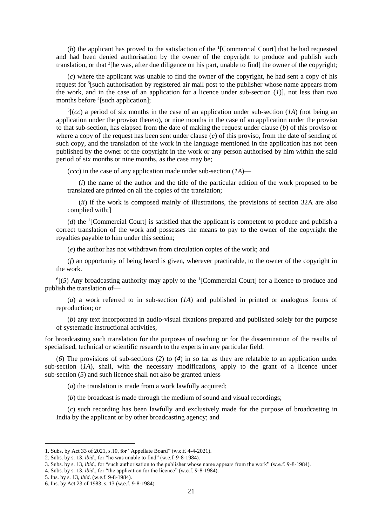$(b)$  the applicant has proved to the satisfaction of the  ${}^{1}$ [Commercial Court] that he had requested and had been denied authorisation by the owner of the copyright to produce and publish such translation, or that <sup>2</sup>[he was, after due diligence on his part, unable to find] the owner of the copyright;

(*c*) where the applicant was unable to find the owner of the copyright, he had sent a copy of his request for <sup>3</sup>[such authorisation by registered air mail post to the publisher whose name appears from the work, and in the case of an application for a licence under sub-section  $(I)$ ], not less than two months before <sup>4</sup>[such application];

 ${}^5$ [(*cc*) a period of six months in the case of an application under sub-section (*1A*) (not being an application under the proviso thereto), or nine months in the case of an application under the proviso to that sub-section, has elapsed from the date of making the request under clause (*b*) of this proviso or where a copy of the request has been sent under clause (*c*) of this proviso, from the date of sending of such copy, and the translation of the work in the language mentioned in the application has not been published by the owner of the copyright in the work or any person authorised by him within the said period of six months or nine months, as the case may be;

(*ccc*) in the case of any application made under sub-section (*1A*)—

(*i*) the name of the author and the title of the particular edition of the work proposed to be translated are printed on all the copies of the translation;

(*ii*) if the work is composed mainly of illustrations, the provisions of section 32A are also complied with;]

(*d*) the <sup>1</sup>[Commercial Court] is satisfied that the applicant is competent to produce and publish a correct translation of the work and possesses the means to pay to the owner of the copyright the royalties payable to him under this section;

(*e*) the author has not withdrawn from circulation copies of the work; and

(*f*) an opportunity of being heard is given, wherever practicable, to the owner of the copyright in the work.

 ${}^6$ [(5) Any broadcasting authority may apply to the <sup>1</sup>[Commercial Court] for a licence to produce and publish the translation of—

(*a*) a work referred to in sub-section (*1A*) and published in printed or analogous forms of reproduction; or

(*b*) any text incorporated in audio-visual fixations prepared and published solely for the purpose of systematic instructional activities,

for broadcasting such translation for the purposes of teaching or for the dissemination of the results of specialised, technical or scientific research to the experts in any particular field.

(*6*) The provisions of sub-sections (*2*) to (*4*) in so far as they are relatable to an application under sub-section  $(1A)$ , shall, with the necessary modifications, apply to the grant of a licence under sub-section (5) and such licence shall not also be granted unless—

(*a*) the translation is made from a work lawfully acquired;

(*b*) the broadcast is made through the medium of sound and visual recordings;

(*c*) such recording has been lawfully and exclusively made for the purpose of broadcasting in India by the applicant or by other broadcasting agency; and

<sup>1</sup>. Subs. by Act 33 of 2021, s.10, for "Appellate Board" (w.e.f. 4-4-2021).

<sup>2.</sup> Subs. by s. 13, *ibid*., for "he was unable to find" (w.e.f. 9-8-1984).

<sup>3.</sup> Subs. by s. 13, *ibid*., for "such authorisation to the publisher whose name appears from the work" (w.e.f. 9-8-1984).

<sup>4.</sup> Subs. by s. 13, *ibid*., for "the application for the licence" (w.e.f. 9-8-1984).

<sup>5.</sup> Ins. by s. 13, *ibid*. (w.e.f. 9-8-1984).

<sup>6.</sup> Ins. by Act 23 of 1983, s. 13 (w.e.f. 9-8-1984).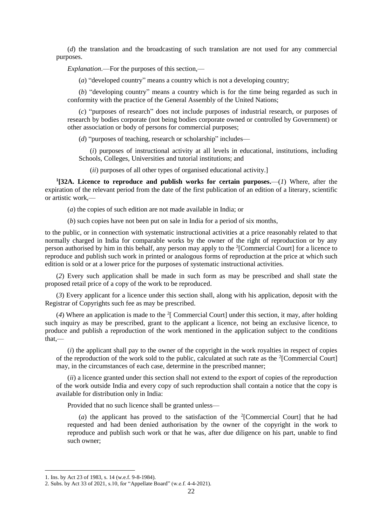(*d*) the translation and the broadcasting of such translation are not used for any commercial purposes.

*Explanation*.—For the purposes of this section,—

(*a*) "developed country" means a country which is not a developing country;

(*b*) "developing country" means a country which is for the time being regarded as such in conformity with the practice of the General Assembly of the United Nations;

(*c*) "purposes of research" does not include purposes of industrial research, or purposes of research by bodies corporate (not being bodies corporate owned or controlled by Government) or other association or body of persons for commercial purposes;

(*d*) "purposes of teaching, research or scholarship" includes—

(*i*) purposes of instructional activity at all levels in educational, institutions, including Schools, Colleges, Universities and tutorial institutions; and

(*ii*) purposes of all other types of organised educational activity.]

**1 [32A. Licence to reproduce and publish works for certain purposes.**—(*1*) Where, after the expiration of the relevant period from the date of the first publication of an edition of a literary, scientific or artistic work,—

(*a*) the copies of such edition are not made available in India; or

(*b*) such copies have not been put on sale in India for a period of six months,

to the public, or in connection with systematic instructional activities at a price reasonably related to that normally charged in India for comparable works by the owner of the right of reproduction or by any person authorised by him in this behalf, any person may apply to the <sup>2</sup>[Commercial Court] for a licence to reproduce and publish such work in printed or analogous forms of reproduction at the price at which such edition is sold or at a lower price for the purposes of systematic instructional activities.

(*2*) Every such application shall be made in such form as may be prescribed and shall state the proposed retail price of a copy of the work to be reproduced.

(*3*) Every applicant for a licence under this section shall, along with his application, deposit with the Registrar of Copyrights such fee as may be prescribed.

 $(4)$  Where an application is made to the <sup>2</sup>[ Commercial Court] under this section, it may, after holding such inquiry as may be prescribed, grant to the applicant a licence, not being an exclusive licence, to produce and publish a reproduction of the work mentioned in the application subject to the conditions that,—

(*i*) the applicant shall pay to the owner of the copyright in the work royalties in respect of copies of the reproduction of the work sold to the public, calculated at such rate as the <sup>2</sup>[Commercial Court] may, in the circumstances of each case, determine in the prescribed manner;

(*ii*) a licence granted under this section shall not extend to the export of copies of the reproduction of the work outside India and every copy of such reproduction shall contain a notice that the copy is available for distribution only in India:

Provided that no such licence shall be granted unless—

(*a*) the applicant has proved to the satisfaction of the  $2$ [Commercial Court] that he had requested and had been denied authorisation by the owner of the copyright in the work to reproduce and publish such work or that he was, after due diligence on his part, unable to find such owner;

<sup>1.</sup> Ins. by Act 23 of 1983, s. 14 (w.e.f. 9-8-1984).

<sup>2.</sup> Subs. by Act 33 of 2021, s.10, for "Appellate Board" (w.e.f. 4-4-2021).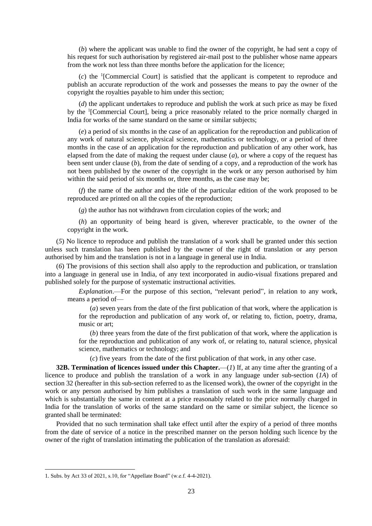(*b*) where the applicant was unable to find the owner of the copyright, he had sent a copy of his request for such authorisation by registered air-mail post to the publisher whose name appears from the work not less than three months before the application for the licence;

 $(c)$  the <sup>1</sup>[Commercial Court] is satisfied that the applicant is competent to reproduce and publish an accurate reproduction of the work and possesses the means to pay the owner of the copyright the royalties payable to him under this section;

(*d*) the applicant undertakes to reproduce and publish the work at such price as may be fixed by the <sup>1</sup>[Commercial Court], being a price reasonably related to the price normally charged in India for works of the same standard on the same or similar subjects;

(*e*) a period of six months in the case of an application for the reproduction and publication of any work of natural science, physical science, mathematics or technology, or a period of three months in the case of an application for the reproduction and publication of any other work, has elapsed from the date of making the request under clause (*a*), or where a copy of the request has been sent under clause (*b*), from the date of sending of a copy, and a reproduction of the work has not been published by the owner of the copyright in the work or any person authorised by him within the said period of six months or, three months, as the case may be;

(*f*) the name of the author and the title of the particular edition of the work proposed to be reproduced are printed on all the copies of the reproduction;

(*g*) the author has not withdrawn from circulation copies of the work; and

(*h*) an opportunity of being heard is given, wherever practicable, to the owner of the copyright in the work.

(*5*) No licence to reproduce and publish the translation of a work shall be granted under this section unless such translation has been published by the owner of the right of translation or any person authorised by him and the translation is not in a language in general use in India.

(*6*) The provisions of this section shall also apply to the reproduction and publication, or translation into a language in general use in India, of any text incorporated in audio-visual fixations prepared and published solely for the purpose of systematic instructional activities.

*Explanation*.—For the purpose of this section, "relevant period", in relation to any work, means a period of—

(*a*) seven years from the date of the first publication of that work, where the application is for the reproduction and publication of any work of, or relating to, fiction, poetry, drama, music or art;

(*b*) three years from the date of the first publication of that work, where the application is for the reproduction and publication of any work of, or relating to, natural science, physical science, mathematics or technology; and

(*c*) five years from the date of the first publication of that work, in any other case.

**32B. Termination of licences issued under this Chapter.**—(*1*) If, at any time after the granting of a licence to produce and publish the translation of a work in any language under sub-section (*1A*) of section 32 (hereafter in this sub-section referred to as the licensed work), the owner of the copyright in the work or any person authorised by him publishes a translation of such work in the same language and which is substantially the same in content at a price reasonably related to the price normally charged in India for the translation of works of the same standard on the same or similar subject, the licence so granted shall be terminated:

Provided that no such termination shall take effect until after the expiry of a period of three months from the date of service of a notice in the prescribed manner on the person holding such licence by the owner of the right of translation intimating the publication of the translation as aforesaid:

<sup>1.</sup> Subs. by Act 33 of 2021, s.10, for "Appellate Board" (w.e.f. 4-4-2021).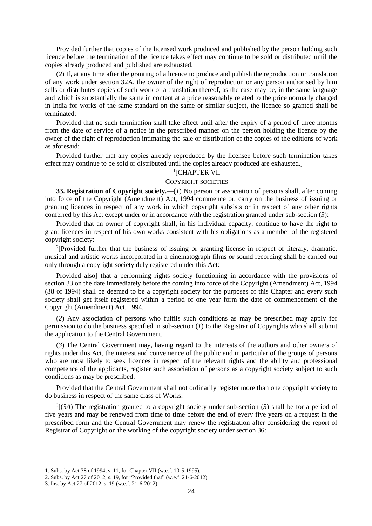Provided further that copies of the licensed work produced and published by the person holding such licence before the termination of the licence takes effect may continue to be sold or distributed until the copies already produced and published are exhausted.

(*2*) If, at any time after the granting of a licence to produce and publish the reproduction or translation of any work under section 32A, the owner of the right of reproduction or any person authorised by him sells or distributes copies of such work or a translation thereof, as the case may be, in the same language and which is substantially the same in content at a price reasonably related to the price normally charged in India for works of the same standard on the same or similar subject, the licence so granted shall be terminated:

Provided that no such termination shall take effect until after the expiry of a period of three months from the date of service of a notice in the prescribed manner on the person holding the licence by the owner of the right of reproduction intimating the sale or distribution of the copies of the editions of work as aforesaid:

Provided further that any copies already reproduced by the licensee before such termination takes effect may continue to be sold or distributed until the copies already produced are exhausted.]

## <sup>1</sup>[CHAPTER VII

### COPYRIGHT SOCIETIES

**33. Registration of Copyright society.**—(*1*) No person or association of persons shall, after coming into force of the Copyright (Amendment) Act, 1994 commence or, carry on the business of issuing or granting licences in respect of any work in which copyright subsists or in respect of any other rights conferred by this Act except under or in accordance with the registration granted under sub-section (*3*):

Provided that an owner of copyright shall, in his individual capacity, continue to have the right to grant licences in respect of his own works consistent with his obligations as a member of the registered copyright society:

<sup>2</sup>[Provided further that the business of issuing or granting license in respect of literary, dramatic, musical and artistic works incorporated in a cinematograph films or sound recording shall be carried out only through a copyright society duly registered under this Act:

Provided also] that a performing rights society functioning in accordance with the provisions of section 33 on the date immediately before the coming into force of the Copyright (Amendment) Act, 1994 (38 of 1994) shall be deemed to be a copyright society for the purposes of this Chapter and every such society shall get itself registered within a period of one year form the date of commencement of the Copyright (Amendment) Act, 1994.

(*2*) Any association of persons who fulfils such conditions as may be prescribed may apply for permission to do the business specified in sub-section (*1*) to the Registrar of Copyrights who shall submit the application to the Central Government.

(*3*) The Central Government may, having regard to the interests of the authors and other owners of rights under this Act, the interest and convenience of the public and in particular of the groups of persons who are most likely to seek licences in respect of the relevant rights and the ability and professional competence of the applicants, register such association of persons as a copyright society subject to such conditions as may be prescribed:

Provided that the Central Government shall not ordinarily register more than one copyright society to do business in respect of the same class of Works.

3 [(*3A*) The registration granted to a copyright society under sub-section (*3*) shall be for a period of five years and may be renewed from time to time before the end of every five years on a request in the prescribed form and the Central Government may renew the registration after considering the report of Registrar of Copyright on the working of the copyright society under section 36:

<sup>1.</sup> Subs. by Act 38 of 1994, s. 11, for Chapter VII (w.e.f. 10-5-1995).

<sup>2.</sup> Subs. by Act 27 of 2012, s. 19, for "Provided that" (w.e.f. 21-6-2012).

<sup>3.</sup> Ins. by Act 27 of 2012, s. 19 (w.e.f. 21-6-2012).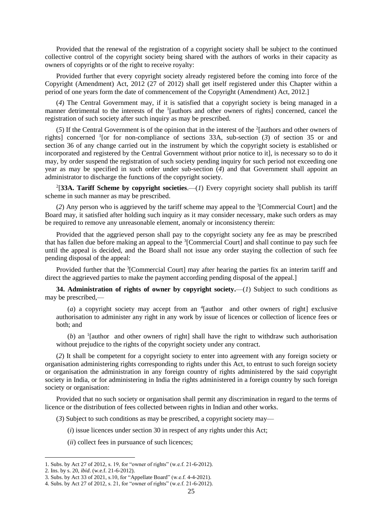Provided that the renewal of the registration of a copyright society shall be subject to the continued collective control of the copyright society being shared with the authors of works in their capacity as owners of copyrights or of the right to receive royalty:

Provided further that every copyright society already registered before the coming into force of the Copyright (Amendment) Act, 2012 (27 of 2012) shall get itself registered under this Chapter within a period of one years form the date of commencement of the Copyright (Amendment) Act, 2012.]

(*4*) The Central Government may, if it is satisfied that a copyright society is being managed in a manner detrimental to the interests of the <sup>1</sup>[authors and other owners of rights] concerned, cancel the registration of such society after such inquiry as may be prescribed.

(*5*) If the Central Government is of the opinion that in the interest of the <sup>2</sup> [authors and other owners of rights] concerned  ${}^{1}$ [or for non-compliance of sections 33A, sub-section (3) of section 35 or and section 36 of any change carried out in the instrument by which the copyright society is established or incorporated and registered by the Central Government without prior notice to it], is necessary so to do it may, by order suspend the registration of such society pending inquiry for such period not exceeding one year as may be specified in such order under sub-section (*4*) and that Government shall appoint an administrator to discharge the functions of the copyright society.

<sup>2</sup>[33A. Tariff Scheme by copyright societies.—(*1*) Every copyright society shall publish its tariff scheme in such manner as may be prescribed.

(2) Any person who is aggrieved by the tariff scheme may appeal to the <sup>3</sup>[Commercial Court] and the Board may, it satisfied after holding such inquiry as it may consider necessary, make such orders as may be required to remove any unreasonable element, anomaly or inconsistency therein:

Provided that the aggrieved person shall pay to the copyright society any fee as may be prescribed that has fallen due before making an appeal to the <sup>3</sup>[Commercial Court] and shall continue to pay such fee until the appeal is decided, and the Board shall not issue any order staying the collection of such fee pending disposal of the appeal:

Provided further that the <sup>3</sup>[Commercial Court] may after hearing the parties fix an interim tariff and direct the aggrieved parties to make the payment according pending disposal of the appeal.]

**34. Administration of rights of owner by copyright society.**—(*1*) Subject to such conditions as may be prescribed,—

( $a$ ) a copyright society may accept from an <sup>4</sup>[author and other owners of right] exclusive authorisation to administer any right in any work by issue of licences or collection of licence fees or both; and

(b) an  $\frac{1}{2}$  [author and other owners of right] shall have the right to withdraw such authorisation without prejudice to the rights of the copyright society under any contract.

(*2*) It shall be competent for a copyright society to enter into agreement with any foreign society or organisation administering rights corresponding to rights under this Act, to entrust to such foreign society or organisation the administration in any foreign country of rights administered by the said copyright society in India, or for administering in India the rights administered in a foreign country by such foreign society or organisation:

Provided that no such society or organisation shall permit any discrimination in regard to the terms of licence or the distribution of fees collected between rights in Indian and other works.

- (*3*) Subject to such conditions as may be prescribed, a copyright society may—
	- (*i*) issue licences under section 30 in respect of any rights under this Act;
	- (*ii*) collect fees in pursuance of such licences;

<sup>1.</sup> Subs. by Act 27 of 2012, s. 19, for "owner of rights" (w.e.f. 21-6-2012).

<sup>2.</sup> Ins. by s. 20, *ibid*. (w.e.f. 21-6-2012).

<sup>3.</sup> Subs. by Act 33 of 2021, s.10, for "Appellate Board" (w.e.f. 4-4-2021).

<sup>4.</sup> Subs. by Act 27 of 2012, s. 21, for "owner of rights" (w.e.f. 21-6-2012).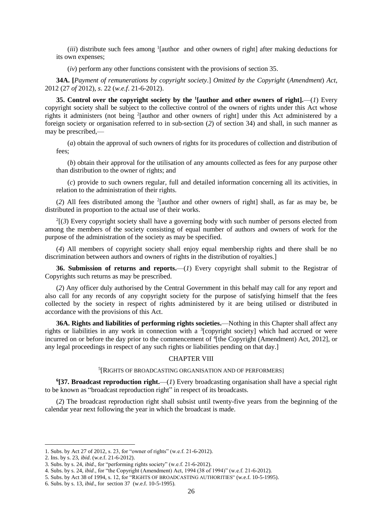(*iii*) distribute such fees among <sup>1</sup>[author and other owners of right] after making deductions for its own expenses;

(*iv*) perform any other functions consistent with the provisions of section 35.

**34A. [***Payment of remunerations by copyright society*.] *Omitted by the Copyright* (*Amendment*) *Act*, 2012 (27 *of* 2012), *s*. 22 (*w.e.f*. 21-6-2012).

**35. Control over the copyright society by the <sup>1</sup> [author and other owners of right].**—(*1*) Every copyright society shall be subject to the collective control of the owners of rights under this Act whose rights it administers (not being <sup>2</sup>[author and other owners of right] under this Act administered by a foreign society or organisation referred to in sub-section (*2*) of section 34) and shall, in such manner as may be prescribed,—

(*a*) obtain the approval of such owners of rights for its procedures of collection and distribution of fees;

(*b*) obtain their approval for the utilisation of any amounts collected as fees for any purpose other than distribution to the owner of rights; and

(*c*) provide to such owners regular, full and detailed information concerning all its activities, in relation to the administration of their rights.

(*2*) All fees distributed among the <sup>2</sup> [author and other owners of right] shall, as far as may be, be distributed in proportion to the actual use of their works.

 $2^{2}$ [(3) Every copyright society shall have a governing body with such number of persons elected from among the members of the society consisting of equal number of authors and owners of work for the purpose of the administration of the society as may be specified.

(*4*) All members of copyright society shall enjoy equal membership rights and there shall be no discrimination between authors and owners of rights in the distribution of royalties.]

**36. Submission of returns and reports.**—(*1*) Every copyright shall submit to the Registrar of Copyrights such returns as may be prescribed.

(*2*) Any officer duly authorised by the Central Government in this behalf may call for any report and also call for any records of any copyright society for the purpose of satisfying himself that the fees collected by the society in respect of rights administered by it are being utilised or distributed in accordance with the provisions of this Act.

**36A. Rights and liabilities of performing rights societies.**—Nothing in this Chapter shall affect any rights or liabilities in any work in connection with a  ${}^{3}$ [copyright society] which had accrued or were incurred on or before the day prior to the commencement of <sup>4</sup>[the Copyright (Amendment) Act, 2012], or any legal proceedings in respect of any such rights or liabilities pending on that day.]

## CHAPTER VIII

## 5 [RIGHTS OF BROADCASTING ORGANISATION AND OF PERFORMERS]

**6 [37. Broadcast reproduction right.**—(*1*) Every broadcasting organisation shall have a special right to be known as "broadcast reproduction right" in respect of its broadcasts.

(*2*) The broadcast reproduction right shall subsist until twenty-five years from the beginning of the calendar year next following the year in which the broadcast is made.

<sup>1.</sup> Subs. by Act 27 of 2012, s. 23, for "owner of rights" (w.e.f. 21-6-2012).

<sup>2.</sup> Ins. by s. 23, *ibid*. (w.e.f. 21-6-2012).

<sup>3.</sup> Subs. by s. 24, *ibid*., for "performing rights society" (w.e.f. 21-6-2012).

<sup>4.</sup> Subs. by s. 24, *ibid*., for "the Copyright (Amendment) Act, 1994 (38 of 1994)" (w.e.f. 21-6-2012).

<sup>5.</sup> Subs. by Act 38 of 1994, s. 12, for "RIGHTS OF BROADCASTING AUTHORITIES" (w.e.f. 10-5-1995).

<sup>6.</sup> Subs. by s. 13, *ibid*., for section 37 (w.e.f. 10-5-1995).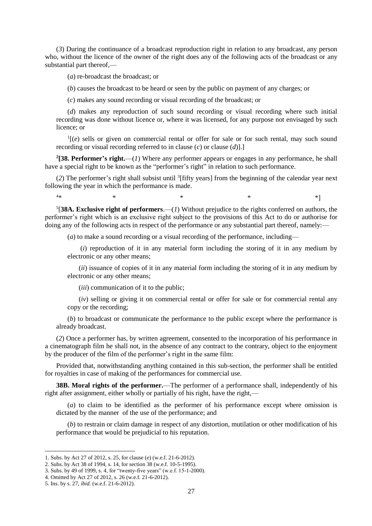(*3*) During the continuance of a broadcast reproduction right in relation to any broadcast, any person who, without the licence of the owner of the right does any of the following acts of the broadcast or any substantial part thereof,—

(*a*) re-broadcast the broadcast; or

(*b*) causes the broadcast to be heard or seen by the public on payment of any charges; or

(*c*) makes any sound recording or visual recording of the broadcast; or

(*d*) makes any reproduction of such sound recording or visual recording where such initial recording was done without licence or, where it was licensed, for any purpose not envisaged by such licence; or

<sup>1</sup>[(e) sells or given on commercial rental or offer for sale or for such rental, may such sound recording or visual recording referred to in clause (*c*) or clause (*d*)].]

**2 [38. Performer's right.**—(*1*) Where any performer appears or engages in any performance, he shall have a special right to be known as the "performer's right" in relation to such performance.

(2) The performer's right shall subsist until <sup>3</sup>[fifty years] from the beginning of the calendar year next following the year in which the performance is made.

 $4*$  \* \* \*  $*$  \*

 $5$ [38A. Exclusive right of performers.—(*1*) Without prejudice to the rights conferred on authors, the performer's right which is an exclusive right subject to the provisions of this Act to do or authorise for doing any of the following acts in respect of the performance or any substantial part thereof, namely:—

(*a*) to make a sound recording or a visual recording of the performance, including—

(*i*) reproduction of it in any material form including the storing of it in any medium by electronic or any other means;

(*ii*) issuance of copies of it in any material form including the storing of it in any medium by electronic or any other means;

(*iii*) communication of it to the public;

(*iv*) selling or giving it on commercial rental or offer for sale or for commercial rental any copy or the recording;

(*b*) to broadcast or communicate the performance to the public except where the performance is already broadcast.

(*2*) Once a performer has, by written agreement, consented to the incorporation of his performance in a cinematograph film he shall not, in the absence of any contract to the contrary, object to the enjoyment by the producer of the film of the performer's right in the same film:

Provided that, notwithstanding anything contained in this sub-section, the performer shall be entitled for royalties in case of making of the performances for commercial use.

**38B. Moral rights of the performer.**—The performer of a performance shall, independently of his right after assignment, either wholly or partially of his right, have the right,—

(*a*) to claim to be identified as the performer of his performance except where omission is dictated by the manner of the use of the performance; and

(*b*) to restrain or claim damage in respect of any distortion, mutilation or other modification of his performance that would be prejudicial to his reputation.

<sup>1.</sup> Subs. by Act 27 of 2012, s. 25, for clause (*e*) (w.e.f. 21-6-2012).

<sup>2.</sup> Subs. by Act 38 of 1994, s. 14, for section 38 (w.e.f. 10-5-1995).

<sup>3.</sup> Subs. by 49 of 1999, s. 4, for "twenty-five years" (w.e.f. 15-1-2000).

<sup>4.</sup> Omitted by Act 27 of 2012, s. 26 (w.e.f. 21-6-2012).

<sup>5.</sup> Ins. by s. 27, *ibid.* (w.e.f. 21-6-2012).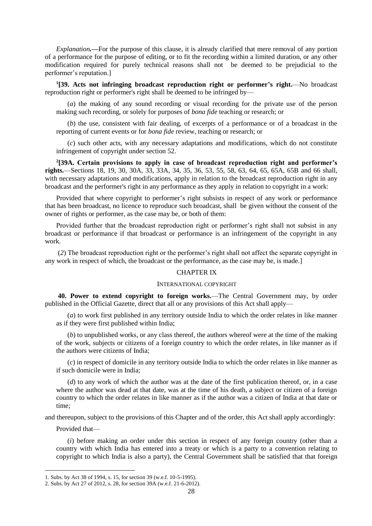*Explanation.—*For the purpose of this clause, it is already clarified that mere removal of any portion of a performance for the purpose of editing, or to fit the recording within a limited duration, or any other modification required for purely technical reasons shall not be deemed to be prejudicial to the performer's reputation.]

**1 [39. Acts not infringing broadcast reproduction right or performer's right.**—No broadcast reproduction right or performer's right shall be deemed to be infringed by—

(*a*) the making of any sound recording or visual recording for the private use of the person making such recording, or solely for purposes of *bona fide* teaching or research; or

(*b*) the use, consistent with fair dealing, of excerpts of a performance or of a broadcast in the reporting of current events or for *bona fide* review, teaching or research; or

(*c*) such other acts, with any necessary adaptations and modifications, which do not constitute infringement of copyright under section 52.

**2 [39A. Certain provisions to apply in case of broadcast reproduction right and performer's rights.**—Sections 18, 19, 30, 30A, 33, 33A, 34, 35, 36, 53, 55, 58, 63, 64, 65, 65A, 65B and 66 shall, with necessary adaptations and modifications, apply in relation to the broadcast reproduction right in any broadcast and the performer's right in any performance as they apply in relation to copyright in a work:

Provided that where copyright to performer's right subsists in respect of any work or performance that has been broadcast, no licence to reproduce such broadcast, shall be given without the consent of the owner of rights or performer, as the case may be, or both of them:

Provided further that the broadcast reproduction right or performer's right shall not subsist in any broadcast or performance if that broadcast or performance is an infringement of the copyright in any work.

(*2*) The broadcast reproduction right or the performer's right shall not affect the separate copyright in any work in respect of which, the broadcast or the performance, as the case may be, is made.]

## CHAPTER IX

#### INTERNATIONAL COPYRIGHT

**40. Power to extend copyright to foreign works.**—The Central Government may, by order published in the Official Gazette, direct that all or any provisions of this Act shall apply—

(*a*) to work first published in any territory outside India to which the order relates in like manner as if they were first published within India;

(*b*) to unpublished works, or any class thereof, the authors whereof were at the time of the making of the work, subjects or citizens of a foreign country to which the order relates, in like manner as if the authors were citizens of India;

(*c*) in respect of domicile in any territory outside India to which the order relates in like manner as if such domicile were in India;

(*d*) to any work of which the author was at the date of the first publication thereof, or, in a case where the author was dead at that date, was at the time of his death, a subject or citizen of a foreign country to which the order relates in like manner as if the author was a citizen of India at that date or time;

and thereupon, subject to the provisions of this Chapter and of the order, this Act shall apply accordingly:

Provided that—

**.** 

(*i*) before making an order under this section in respect of any foreign country (other than a country with which India has entered into a treaty or which is a party to a convention relating to copyright to which India is also a party), the Central Government shall be satisfied that that foreign

<sup>1.</sup> Subs. by Act 38 of 1994, s. 15, for section 39 (w.e.f. 10-5-1995).

<sup>2.</sup> Subs. by Act 27 of 2012, s. 28, for section 39A (w.e.f. 21-6-2012).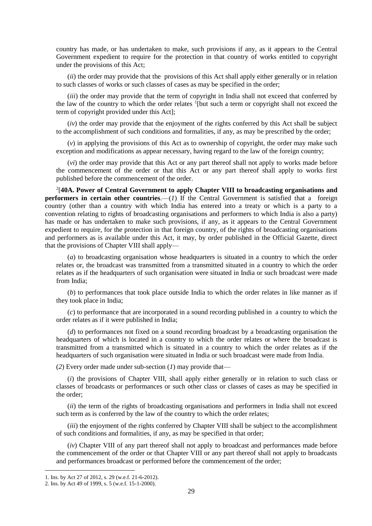country has made, or has undertaken to make, such provisions if any, as it appears to the Central Government expedient to require for the protection in that country of works entitled to copyright under the provisions of this Act;

(*ii*) the order may provide that the provisions of this Act shall apply either generally or in relation to such classes of works or such classes of cases as may be specified in the order;

(*iii*) the order may provide that the term of copyright in India shall not exceed that conferred by the law of the country to which the order relates  ${}^{1}$ [but such a term or copyright shall not exceed the term of copyright provided under this Act];

(*iv*) the order may provide that the enjoyment of the rights conferred by this Act shall be subject to the accomplishment of such conditions and formalities, if any, as may be prescribed by the order;

(*v*) in applying the provisions of this Act as to ownership of copyright, the order may make such exception and modifications as appear necessary, having regard to the law of the foreign country;

(*vi*) the order may provide that this Act or any part thereof shall not apply to works made before the commencement of the order or that this Act or any part thereof shall apply to works first published before the commencement of the order.

2 [**40A. Power of Central Government to apply Chapter VIII to broadcasting organisations and performers in certain other countries.**—(*1*) If the Central Government is satisfied that a foreign country (other than a country with which India has entered into a treaty or which is a party to a convention relating to rights of broadcasting organisations and performers to which India is also a party) has made or has undertaken to make such provisions, if any, as it appears to the Central Government expedient to require, for the protection in that foreign country, of the rights of broadcasting organisations and performers as is available under this Act, it may, by order published in the Official Gazette, direct that the provisions of Chapter VIII shall apply—

(*a*) to broadcasting organisation whose headquarters is situated in a country to which the order relates or, the broadcast was transmitted from a transmitted situated in a country to which the order relates as if the headquarters of such organisation were situated in India or such broadcast were made from India;

(*b*) to performances that took place outside India to which the order relates in like manner as if they took place in India;

(*c*) to performance that are incorporated in a sound recording published in a country to which the order relates as if it were published in India;

(*d*) to performances not fixed on a sound recording broadcast by a broadcasting organisation the headquarters of which is located in a country to which the order relates or where the broadcast is transmitted from a transmitted which is situated in a country to which the order relates as if the headquarters of such organisation were situated in India or such broadcast were made from India.

(*2*) Every order made under sub-section (*1*) may provide that—

(*i*) the provisions of Chapter VIII, shall apply either generally or in relation to such class or classes of broadcasts or performances or such other class or classes of cases as may be specified in the order;

(*ii*) the term of the rights of broadcasting organisations and performers in India shall not exceed such term as is conferred by the law of the country to which the order relates;

(*iii*) the enjoyment of the rights conferred by Chapter VIII shall be subject to the accomplishment of such conditions and formalities, if any, as may be specified in that order;

(*iv*) Chapter VIII of any part thereof shall not apply to broadcast and performances made before the commencement of the order or that Chapter VIII or any part thereof shall not apply to broadcasts and performances broadcast or performed before the commencement of the order;

<sup>1.</sup> Ins. by Act 27 of 2012, s. 29 (w.e.f. 21-6-2012).

<sup>2.</sup> Ins. by Act 49 of 1999, s. 5 (w.e.f. 15-1-2000).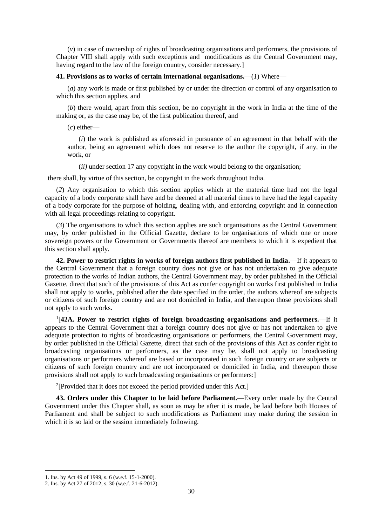(*v*) in case of ownership of rights of broadcasting organisations and performers, the provisions of Chapter VIII shall apply with such exceptions and modifications as the Central Government may, having regard to the law of the foreign country, consider necessary.]

## **41. Provisions as to works of certain international organisations.**—(*1*) Where—

(*a*) any work is made or first published by or under the direction or control of any organisation to which this section applies, and

(*b*) there would, apart from this section, be no copyright in the work in India at the time of the making or, as the case may be, of the first publication thereof, and

(*c*) either—

(*i*) the work is published as aforesaid in pursuance of an agreement in that behalf with the author, being an agreement which does not reserve to the author the copyright, if any, in the work, or

(*ii)* under section 17 any copyright in the work would belong to the organisation;

there shall, by virtue of this section, be copyright in the work throughout India.

(*2*) Any organisation to which this section applies which at the material time had not the legal capacity of a body corporate shall have and be deemed at all material times to have had the legal capacity of a body corporate for the purpose of holding, dealing with, and enforcing copyright and in connection with all legal proceedings relating to copyright.

(*3*) The organisations to which this section applies are such organisations as the Central Government may, by order published in the Official Gazette, declare to be organisations of which one or more sovereign powers or the Government or Governments thereof are members to which it is expedient that this section shall apply.

**42. Power to restrict rights in works of foreign authors first published in India.**—If it appears to the Central Government that a foreign country does not give or has not undertaken to give adequate protection to the works of Indian authors, the Central Government may, by order published in the Official Gazette, direct that such of the provisions of this Act as confer copyright on works first published in India shall not apply to works, published after the date specified in the order, the authors whereof are subjects or citizens of such foreign country and are not domiciled in India, and thereupon those provisions shall not apply to such works.

1 [**42A. Power to restrict rights of foreign broadcasting organisations and performers.**—If it appears to the Central Government that a foreign country does not give or has not undertaken to give adequate protection to rights of broadcasting organisations or performers, the Central Government may, by order published in the Official Gazette, direct that such of the provisions of this Act as confer right to broadcasting organisations or performers, as the case may be, shall not apply to broadcasting organisations or performers whereof are based or incorporated in such foreign country or are subjects or citizens of such foreign country and are not incorporated or domiciled in India, and thereupon those provisions shall not apply to such broadcasting organisations or performers:]

<sup>2</sup>[Provided that it does not exceed the period provided under this Act.]

**43. Orders under this Chapter to be laid before Parliament.**—Every order made by the Central Government under this Chapter shall, as soon as may be after it is made, be laid before both Houses of Parliament and shall be subject to such modifications as Parliament may make during the session in which it is so laid or the session immediately following.

<sup>1.</sup> Ins. by Act 49 of 1999, s. 6 (w.e.f. 15-1-2000).

<sup>2.</sup> Ins. by Act 27 of 2012, s. 30 (w.e.f. 21-6-2012).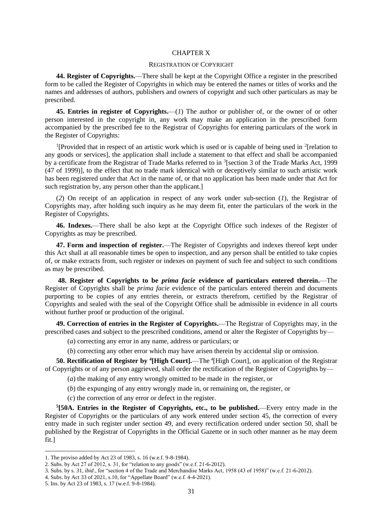## CHAPTER X

### REGISTRATION OF COPYRIGHT

**44. Register of Copyrights.**—There shall be kept at the Copyright Office a register in the prescribed form to be called the Register of Copyrights in which may be entered the names or titles of works and the names and addresses of authors, publishers and owners of copyright and such other particulars as may be prescribed.

**45. Entries in register of Copyrights.**—(*1*) The author or publisher of, or the owner of or other person interested in the copyright in, any work may make an application in the prescribed form accompanied by the prescribed fee to the Registrar of Copyrights for entering particulars of the work in the Register of Copyrights:

<sup>1</sup>[Provided that in respect of an artistic work which is used or is capable of being used in <sup>2</sup>[relation to any goods or services], the application shall include a statement to that effect and shall be accompanied by a certificate from the Registrar of Trade Marks referred to in <sup>3</sup>[section 3 of the Trade Marks Act, 1999 (47 of 1999)], to the effect that no trade mark identical with or deceptively similar to such artistic work has been registered under that Act in the name of, or that no application has been made under that Act for such registration by, any person other than the applicant.]

(*2*) On receipt of an application in respect of any work under sub-section (*1*), the Registrar of Copyrights may, after holding such inquiry as he may deem fit, enter the particulars of the work in the Register of Copyrights.

**46. Indexes.**—There shall be also kept at the Copyright Office such indexes of the Register of Copyrights as may be prescribed.

**47. Form and inspection of register.**—The Register of Copyrights and indexes thereof kept under this Act shall at all reasonable times be open to inspection, and any person shall be entitled to take copies of, or make extracts from, such register or indexes on payment of such fee and subject to such conditions as may be prescribed.

**48. Register of Copyrights to be** *prima facie* **evidence of particulars entered therein.**—The Register of Copyrights shall be *prima facie* evidence of the particulars entered therein and documents purporting to be copies of any entries therein, or extracts therefrom, certified by the Registrar of Copyrights and sealed with the seal of the Copyright Office shall be admissible in evidence in all courts without further proof or production of the original.

**49. Correction of entries in the Register of Copyrights.**—The Registrar of Copyrights may, in the prescribed cases and subject to the prescribed conditions, amend or alter the Register of Copyrights by—

(*a*) correcting any error in any name, address or particulars; or

(*b*) correcting any other error which may have arisen therein by accidental slip or omission.

**50. Rectification of Register by <sup>4</sup>[High Court].—The <sup>4</sup>[High Court], on application of the Registrar** of Copyrights or of any person aggrieved, shall order the rectification of the Register of Copyrights by—

(*a*) the making of any entry wrongly omitted to be made in the register, or

- (*b*) the expunging of any entry wrongly made in, or remaining on, the register, or
- (*c*) the correction of any error or defect in the register.

**5 [50A. Entries in the Register of Copyrights, etc., to be published.**—Every entry made in the Register of Copyrights or the particulars of any work entered under section 45, the correction of every entry made in such register under section 49, and every rectification ordered under section 50, shall be published by the Registrar of Copyrights in the Official Gazette or in such other manner as he may deem fit.]

<sup>1.</sup> The proviso added by Act 23 of 1983, s. 16 (w.e.f. 9-8-1984).

<sup>2.</sup> Subs. by Act 27 of 2012, s. 31, for "relation to any goods" (w.e.f. 21-6-2012).

<sup>3.</sup> Subs. by s. 31, *ibid*., for "section 4 of the Trade and Merchandise Marks Act, 1958 (43 of 1958)" (w.e.f. 21-6-2012).

<sup>4.</sup> Subs. by Act 33 of 2021, s.10, for "Appellate Board" (w.e.f. 4-4-2021).

<sup>5.</sup> Ins. by Act 23 of 1983, s. 17 (w.e.f. 9-8-1984).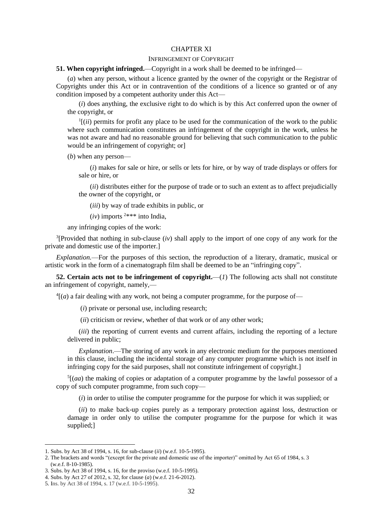### CHAPTER XI

### INFRINGEMENT OF COPYRIGHT

**51. When copyright infringed.**—Copyright in a work shall be deemed to be infringed—

(*a*) when any person, without a licence granted by the owner of the copyright or the Registrar of Copyrights under this Act or in contravention of the conditions of a licence so granted or of any condition imposed by a competent authority under this Act—

(*i*) does anything, the exclusive right to do which is by this Act conferred upon the owner of the copyright, or

 $\mathbb{I}[(ii)$  permits for profit any place to be used for the communication of the work to the public where such communication constitutes an infringement of the copyright in the work, unless he was not aware and had no reasonable ground for believing that such communication to the public would be an infringement of copyright; or]

(*b*) when any person—

(*i*) makes for sale or hire, or sells or lets for hire, or by way of trade displays or offers for sale or hire, or

(*ii*) distributes either for the purpose of trade or to such an extent as to affect prejudicially the owner of the copyright, or

(*iii*) by way of trade exhibits in public, or

 $(iv)$  imports  $2***$  into India,

any infringing copies of the work:

<sup>3</sup>[Provided that nothing in sub-clause (*iv*) shall apply to the import of one copy of any work for the private and domestic use of the importer.]

*Explanation.*—For the purposes of this section, the reproduction of a literary, dramatic, musical or artistic work in the form of a cinematograph film shall be deemed to be an "infringing copy".

**52. Certain acts not to be infringement of copyright.**—(*1*) The following acts shall not constitute an infringement of copyright, namely,—

 $^{4}$ [(*a*) a fair dealing with any work, not being a computer programme, for the purpose of—

(*i*) private or personal use, including research;

(*ii*) criticism or review, whether of that work or of any other work;

(*iii*) the reporting of current events and current affairs, including the reporting of a lecture delivered in public;

*Explanation*.—The storing of any work in any electronic medium for the purposes mentioned in this clause, including the incidental storage of any computer programme which is not itself in infringing copy for the said purposes, shall not constitute infringement of copyright.]

 $<sup>5</sup>$ [(*aa*) the making of copies or adaptation of a computer programme by the lawful possessor of a</sup> copy of such computer programme, from such copy—

(*i*) in order to utilise the computer programme for the purpose for which it was supplied; or

(*ii*) to make back-up copies purely as a temporary protection against loss, destruction or damage in order only to utilise the computer programme for the purpose for which it was supplied;]

<sup>1.</sup> Subs. by Act 38 of 1994, s. 16, for sub-clause (*ii*) (w.e.f. 10-5-1995).

<sup>2.</sup> The brackets and words "(except for the private and domestic use of the importer)" omitted by Act 65 of 1984, s. 3 (w.e.f. 8-10-1985).

<sup>3.</sup> Subs. by Act 38 of 1994, s. 16, for the proviso (w.e.f. 10-5-1995).

<sup>4.</sup> Subs. by Act 27 of 2012, s. 32, for clause (*a*) (w.e.f. 21-6-2012).

<sup>5.</sup> Ins. by Act 38 of 1994, s. 17 (w.e.f. 10-5-1995).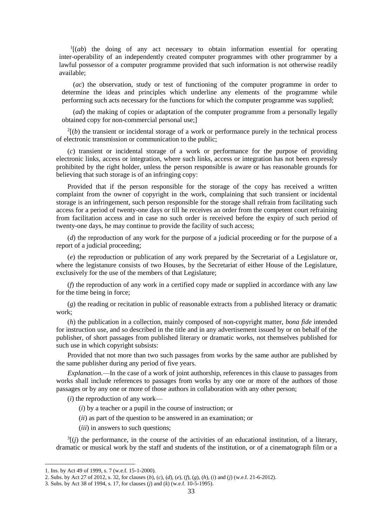<sup>1</sup>[(*ab*) the doing of any act necessary to obtain information essential for operating inter-operability of an independently created computer programmes with other programmer by a lawful possessor of a computer programme provided that such information is not otherwise readily available;

(*ac*) the observation, study or test of functioning of the computer programme in order to determine the ideas and principles which underline any elements of the programme while performing such acts necessary for the functions for which the computer programme was supplied;

(*ad*) the making of copies or adaptation of the computer programme from a personally legally obtained copy for non-commercial personal use;]

 $2(1)(b)$  the transient or incidental storage of a work or performance purely in the technical process of electronic transmission or communication to the public;

(*c*) transient or incidental storage of a work or performance for the purpose of providing electronic links, access or integration, where such links, access or integration has not been expressly prohibited by the right holder, unless the person responsible is aware or has reasonable grounds for believing that such storage is of an infringing copy:

Provided that if the person responsible for the storage of the copy has received a written complaint from the owner of copyright in the work, complaining that such transient or incidental storage is an infringement, such person responsible for the storage shall refrain from facilitating such access for a period of twenty-one days or till he receives an order from the competent court refraining from facilitation access and in case no such order is received before the expiry of such period of twenty-one days, he may continue to provide the facility of such access;

(*d*) the reproduction of any work for the purpose of a judicial proceeding or for the purpose of a report of a judicial proceeding;

(*e*) the reproduction or publication of any work prepared by the Secretariat of a Legislature or, where the legistanure consists of two Houses, by the Secretariat of either House of the Legislature, exclusively for the use of the members of that Legislature;

(*f*) the reproduction of any work in a certified copy made or supplied in accordance with any law for the time being in force;

(*g*) the reading or recitation in public of reasonable extracts from a published literacy or dramatic work;

(*h*) the publication in a collection, mainly composed of non-copyright matter, *bona fide* intended for instruction use, and so described in the title and in any advertisement issued by or on behalf of the publisher, of short passages from published literary or dramatic works, not themselves published for such use in which copyright subsists:

Provided that not more than two such passages from works by the same author are published by the same publisher during any period of five years.

*Explanation.*—In the case of a work of joint authorship, references in this clause to passages from works shall include references to passages from works by any one or more of the authors of those passages or by any one or more of those authors in collaboration with any other person;

(*i*) the reproduction of any work—

- (*i*) by a teacher or a pupil in the course of instruction; or
- (*ii*) as part of the question to be answered in an examination; or
- (*iii*) in answers to such questions;

 $3\vert(j)$  the performance, in the course of the activities of an educational institution, of a literary, dramatic or musical work by the staff and students of the institution, or of a cinematograph film or a

<sup>1.</sup> Ins. by Act 49 of 1999, s. 7 (w.e.f. 15-1-2000).

<sup>2.</sup> Subs. by Act 27 of 2012, s. 32, for clauses (*b*), (*c*), (*d*), (*e*), (*f*), (*g*), (*h*), (*i*) and (*j*) (w.e.f. 21-6-2012).

<sup>3.</sup> Subs. by Act 38 of 1994, s. 17, for clauses (*j*) and (*k*) (w.e.f. 10-5-1995).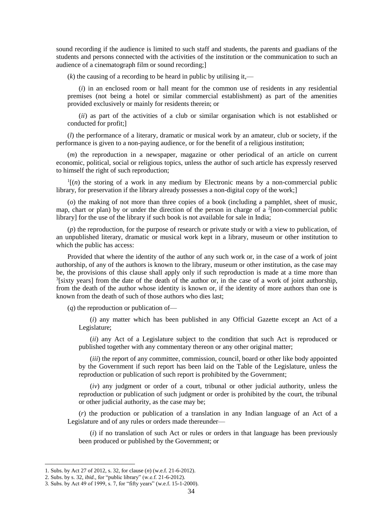sound recording if the audience is limited to such staff and students, the parents and guadians of the students and persons connected with the activities of the institution or the communication to such an audience of a cinematograph film or sound recording;]

 $(k)$  the causing of a recording to be heard in public by utilising it,—

(*i*) in an enclosed room or hall meant for the common use of residents in any residential premises (not being a hotel or similar commercial establishment) as part of the amenities provided exclusively or mainly for residents therein; or

(*ii*) as part of the activities of a club or similar organisation which is not established or conducted for profit;]

(*l*) the performance of a literary, dramatic or musical work by an amateur, club or society, if the performance is given to a non-paying audience, or for the benefit of a religious institution;

(*m*) the reproduction in a newspaper, magazine or other periodical of an article on current economic, political, social or religious topics, unless the author of such article has expressly reserved to himself the right of such reproduction;

 $\Gamma$ <sup>1</sup>[(*n*) the storing of a work in any medium by Electronic means by a non-commercial public library, for preservation if the library already possesses a non-digital copy of the work;]

(*o*) the making of not more than three copies of a book (including a pamphlet, sheet of music, map, chart or plan) by or under the direction of the person in charge of a  $2$ [non-commercial public library] for the use of the library if such book is not available for sale in India;

(*p*) the reproduction, for the purpose of research or private study or with a view to publication, of an unpublished literary, dramatic or musical work kept in a library, museum or other institution to which the public has access:

Provided that where the identity of the author of any such work or, in the case of a work of joint authorship, of any of the authors is known to the library, museum or other institution, as the case may be, the provisions of this clause shall apply only if such reproduction is made at a time more than  $3$ [sixty years] from the date of the death of the author or, in the case of a work of joint authorship, from the death of the author whose identity is known or, if the identity of more authors than one is known from the death of such of those authors who dies last;

(*q*) the reproduction or publication of—

(*i*) any matter which has been published in any Official Gazette except an Act of a Legislature;

(*ii*) any Act of a Legislature subject to the condition that such Act is reproduced or published together with any commentary thereon or any other original matter;

(*iii*) the report of any committee, commission, council, board or other like body appointed by the Government if such report has been laid on the Table of the Legislature, unless the reproduction or publication of such report is prohibited by the Government;

(*iv*) any judgment or order of a court, tribunal or other judicial authority, unless the reproduction or publication of such judgment or order is prohibited by the court, the tribunal or other judicial authority, as the case may be;

(*r*) the production or publication of a translation in any Indian language of an Act of a Legislature and of any rules or orders made thereunder—

(*i*) if no translation of such Act or rules or orders in that language has been previously been produced or published by the Government; or

<sup>1.</sup> Subs. by Act 27 of 2012, s. 32, for clause (*n*) (w.e.f. 21-6-2012).

<sup>2.</sup> Subs. by s. 32, *ibid.,* for "public library" (w.e.f. 21-6-2012).

<sup>3.</sup> Subs. by Act 49 of 1999, s. 7, for "fifty years" (w.e.f. 15-1-2000).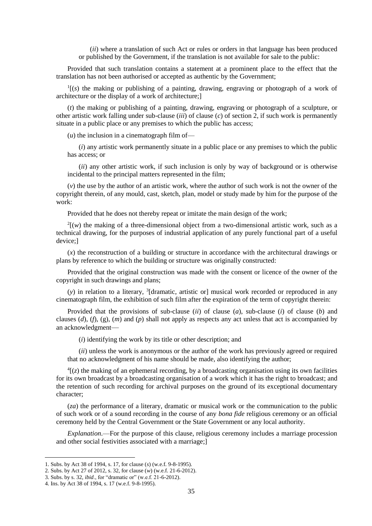(*ii*) where a translation of such Act or rules or orders in that language has been produced or published by the Government, if the translation is not available for sale to the public:

Provided that such translation contains a statement at a prominent place to the effect that the translation has not been authorised or accepted as authentic by the Government;

1 [(*s*) the making or publishing of a painting, drawing, engraving or photograph of a work of architecture or the display of a work of architecture;]

(*t*) the making or publishing of a painting, drawing, engraving or photograph of a sculpture, or other artistic work falling under sub-clause (*iii*) of clause (*c*) of section 2, if such work is permanently situate in a public place or any premises to which the public has access;

 $(u)$  the inclusion in a cinematograph film of—

(*i*) any artistic work permanently situate in a public place or any premises to which the public has access; or

(*ii*) any other artistic work, if such inclusion is only by way of background or is otherwise incidental to the principal matters represented in the film;

(*v*) the use by the author of an artistic work, where the author of such work is not the owner of the copyright therein, of any mould, cast, sketch, plan, model or study made by him for the purpose of the work:

Provided that he does not thereby repeat or imitate the main design of the work;

 $2\mu(w)$  the making of a three-dimensional object from a two-dimensional artistic work, such as a technical drawing, for the purposes of industrial application of any purely functional part of a useful device;]

(*x*) the reconstruction of a building or structure in accordance with the architectural drawings or plans by reference to which the building or structure was originally constructed:

Provided that the original construction was made with the consent or licence of the owner of the copyright in such drawings and plans;

(*y*) in relation to a literary, <sup>3</sup> [dramatic, artistic or] musical work recorded or reproduced in any cinematograph film, the exhibition of such film after the expiration of the term of copyright therein:

Provided that the provisions of sub-clause (*ii*) of clause (*a*), sub-clause (*i*) of clause (*b*) and clauses (*d*), (*f*), (g), (*m*) and (*p*) shall not apply as respects any act unless that act is accompanied by an acknowledgment—

(*i*) identifying the work by its title or other description; and

(*ii*) unless the work is anonymous or the author of the work has previously agreed or required that no acknowledgment of his name should be made, also identifying the author;

 $\frac{4}{2}$  (*z*) the making of an ephemeral recording, by a broadcasting organisation using its own facilities for its own broadcast by a broadcasting organisation of a work which it has the right to broadcast; and the retention of such recording for archival purposes on the ground of its exceptional documentary character;

(*za*) the performance of a literary, dramatic or musical work or the communication to the public of such work or of a sound recording in the course of any *bona fide* religious ceremony or an official ceremony held by the Central Government or the State Government or any local authority.

*Explanation*.—For the purpose of this clause, religious ceremony includes a marriage procession and other social festivities associated with a marriage;]

<sup>1.</sup> Subs. by Act 38 of 1994, s. 17, for clause (*s*) (w.e.f. 9-8-1995).

<sup>2.</sup> Subs. by Act 27 of 2012, s. 32, for clause (*w*) (w.e.f. 21-6-2012).

<sup>3.</sup> Subs. by s. 32, *ibid*., for "dramatic or" (w.e.f. 21-6-2012).

<sup>4.</sup> Ins. by Act 38 of 1994, s. 17 (w.e.f. 9-8-1995).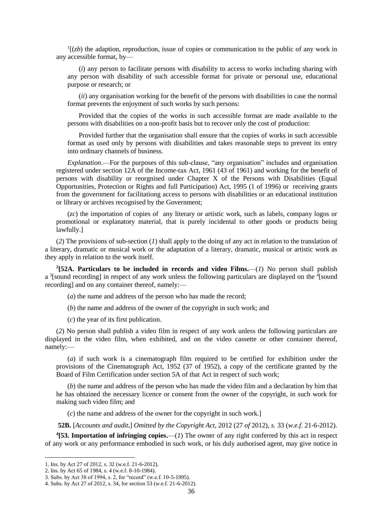$\Gamma$ <sup>1</sup>[(*zb*) the adaption, reproduction, issue of copies or communication to the public of any work in any accessible format, by—

(*i*) any person to facilitate persons with disability to access to works including sharing with any person with disability of such accessible format for private or personal use, educational purpose or research; or

(*ii*) any organisation working for the benefit of the persons with disabilities in case the normal format prevents the enjoyment of such works by such persons:

Provided that the copies of the works in such accessible format are made available to the persons with disabilities on a non-profit basis but to recover only the cost of production:

Provided further that the organisation shall ensure that the copies of works in such accessible format as used only by persons with disabilities and takes reasonable steps to prevent its entry into ordinary channels of business.

*Explanation*.—For the purposes of this sub-clause, "any organisation" includes and organisation registered under section 12A of the Income-tax Act, 1961 (43 of 1961) and working for the benefit of persons with disability or reorgnised under Chapter X of the Persons with Disabilities (Equal Opportunities, Protection or Rights and full Participation) Act, 1995 (1 of 1996) or receiving grants from the government for facilitationg access to persons with disabilities or an educational institution or library or archives recognised by the Government;

(*zc*) the importation of copies of any literary or artistic work, such as labels, company logos or promotional or explanatory material, that is purely incidental to other goods or products being lawfully.]

(*2*) The provisions of sub-section (*1*) shall apply to the doing of any act in relation to the translation of a literary, dramatic or musical work or the adaptation of a literary, dramatic, musical or artistic work as they apply in relation to the work itself.

**2 [52A. Particulars to be included in records and video Films.**—(*1*) No person shall publish a<sup>3</sup>[sound recording] in respect of any work unless the following particulars are displayed on the <sup>4</sup>[sound recording] and on any container thereof, namely:—

- (*a*) the name and address of the person who has made the record;
- (*b*) the name and address of the owner of the copyright in such work; and
- (*c*) the year of its first publication.

(*2*) No person shall publish a video film in respect of any work unless the following particulars are displayed in the video film, when exhibited, and on the video cassette or other container thereof, namely:—

(*a*) if such work is a cinematograph film required to be certified for exhibition under the provisions of the Cinematograph Act, 1952 (37 of 1952), a copy of the certificate granted by the Board of Film Certification under section 5A of that Act in respect of such work;

(*b*) the name and address of the person who has made the video film and a declaration by him that he has obtained the necessary licence or consent from the owner of the copyright, in such work for making such video film; and

(*c*) the name and address of the owner for the copyright in such work.]

**52B.** [*Accounts and audit***.**] *Omitted by the Copyright Act,* 2012 (27 *of* 2012), *s.* 33 (*w.e.f.* 21-6-2012).

**4 [53. Importation of infringing copies.**—(*1*) The owner of any right conferred by this act in respect of any work or any performance embodied in such work, or his duly authorised agent, may give notice in

<sup>1.</sup> Ins. by Act 27 of 2012, s. 32 (w.e.f. 21-6-2012).

<sup>2.</sup> Ins. by Act 65 of 1984, s. 4 (w.e.f. 8-10-1984).

<sup>3.</sup> Subs. by Act 38 of 1994, s. 2, for "record" (w.e.f. 10-5-1995).

<sup>4.</sup> Subs. by Act 27 of 2012, s. 34, for section 53 (w.e.f. 21-6-2012).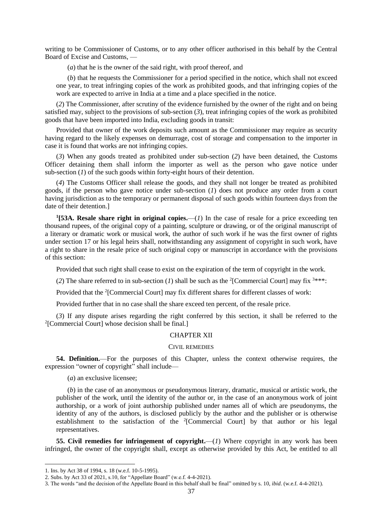writing to be Commissioner of Customs, or to any other officer authorised in this behalf by the Central Board of Excise and Customs, —

(*a*) that he is the owner of the said right, with proof thereof, and

(*b*) that he requests the Commissioner for a period specified in the notice, which shall not exceed one year, to treat infringing copies of the work as prohibited goods, and that infringing copies of the work are expected to arrive in India at a time and a place specified in the notice.

(*2*) The Commissioner, after scrutiny of the evidence furnished by the owner of the right and on being satisfied may, subject to the provisions of sub-section (*3*), treat infringing copies of the work as prohibited goods that have been imported into India, excluding goods in transit:

Provided that owner of the work deposits such amount as the Commissioner may require as security having regard to the likely expenses on demurrage, cost of storage and compensation to the importer in case it is found that works are not infringing copies.

(*3*) When any goods treated as prohibited under sub-section (*2*) have been detained, the Customs Officer detaining them shall inform the importer as well as the person who gave notice under sub-section (*1*) of the such goods within forty-eight hours of their detention.

(*4*) The Customs Officer shall release the goods, and they shall not longer be treated as prohibited goods, if the person who gave notice under sub-section (*1*) does not produce any order from a court having jurisdiction as to the temporary or permanent disposal of such goods within fourteen days from the date of their detention.]

<sup>1</sup>(53A. Resale share right in original copies.— $(1)$  In the case of resale for a price exceeding ten thousand rupees, of the original copy of a painting, sculpture or drawing, or of the original manuscript of a literary or dramatic work or musical work, the author of such work if he was the first owner of rights under section 17 or his legal heirs shall, notwithstanding any assignment of copyright in such work, have a right to share in the resale price of such original copy or manuscript in accordance with the provisions of this section:

Provided that such right shall cease to exist on the expiration of the term of copyright in the work.

(2) The share referred to in sub-section (*1*) shall be such as the <sup>2</sup>[Commercial Court] may fix <sup>3\*\*\*</sup>:

Provided that the <sup>2</sup>[Commercial Court] may fix different shares for different classes of work:

Provided further that in no case shall the share exceed ten percent, of the resale price.

(*3*) If any dispute arises regarding the right conferred by this section, it shall be referred to the <sup>2</sup>[Commercial Court] whose decision shall be final.]

### CHAPTER XII

### CIVIL REMEDIES

**54. Definition.**—For the purposes of this Chapter, unless the context otherwise requires, the expression "owner of copyright" shall include—

(*a*) an exclusive licensee;

(*b*) in the case of an anonymous or pseudonymous literary, dramatic, musical or artistic work, the publisher of the work, until the identity of the author or, in the case of an anonymous work of joint authorship, or a work of joint authorship published under names all of which are pseudonyms, the identity of any of the authors, is disclosed publicly by the author and the publisher or is otherwise establishment to the satisfaction of the <sup>2</sup>[Commercial Court] by that author or his legal representatives.

**55. Civil remedies for infringement of copyright.**—(*1*) Where copyright in any work has been infringed, the owner of the copyright shall, except as otherwise provided by this Act, be entitled to all

<sup>1.</sup> Ins. by Act 38 of 1994, s. 18 (w.e.f. 10-5-1995).

<sup>2.</sup> Subs. by Act 33 of 2021, s.10, for "Appellate Board" (w.e.f. 4-4-2021).

<sup>3.</sup> The words "and the decision of the Appellate Board in this behalf shall be final" omitted by s. 10, *ibid*. (w.e.f. 4-4-2021).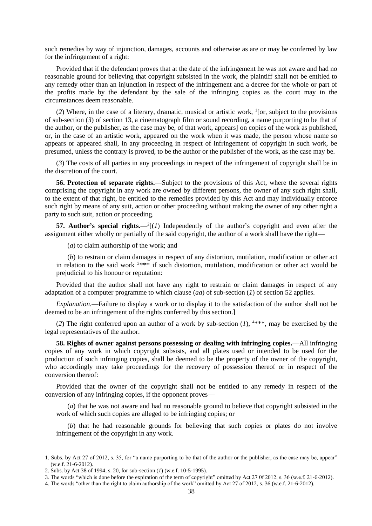such remedies by way of injunction, damages, accounts and otherwise as are or may be conferred by law for the infringement of a right:

Provided that if the defendant proves that at the date of the infringement he was not aware and had no reasonable ground for believing that copyright subsisted in the work, the plaintiff shall not be entitled to any remedy other than an injunction in respect of the infringement and a decree for the whole or part of the profits made by the defendant by the sale of the infringing copies as the court may in the circumstances deem reasonable.

 $(2)$  Where, in the case of a literary, dramatic, musical or artistic work, <sup>1</sup>[or, subject to the provisions of sub-section (*3*) of section 13, a cinematograph film or sound recording, a name purporting to be that of the author, or the publisher, as the case may be, of that work, appears] on copies of the work as published, or, in the case of an artistic work, appeared on the work when it was made, the person whose name so appears or appeared shall, in any proceeding in respect of infringement of copyright in such work, be presumed, unless the contrary is proved, to be the author or the publisher of the work, as the case may be.

(*3*) The costs of all parties in any proceedings in respect of the infringement of copyright shall be in the discretion of the court.

**56. Protection of separate rights.**—Subject to the provisions of this Act, where the several rights comprising the copyright in any work are owned by different persons, the owner of any such right shall, to the extent of that right, be entitled to the remedies provided by this Act and may individually enforce such right by means of any suit, action or other proceeding without making the owner of any other right a party to such suit, action or proceeding.

**57. Author's special rights.**  $-\frac{2}{1}$  Independently of the author's copyright and even after the assignment either wholly or partially of the said copyright, the author of a work shall have the right—

(*a*) to claim authorship of the work; and

(*b*) to restrain or claim damages in respect of any distortion, mutilation, modification or other act in relation to the said work <sup>3\*\*\*</sup> if such distortion, mutilation, modification or other act would be prejudicial to his honour or reputation:

Provided that the author shall not have any right to restrain or claim damages in respect of any adaptation of a computer programme to which clause (*aa*) of sub-section (*1*) of section 52 applies.

*Explanation*.—Failure to display a work or to display it to the satisfaction of the author shall not be deemed to be an infringement of the rights conferred by this section.]

(*2*) The right conferred upon an author of a work by sub-section (*1*), <sup>4</sup>\*\*\*, may be exercised by the legal representatives of the author.

**58. Rights of owner against persons possessing or dealing with infringing copies.**—All infringing copies of any work in which copyright subsists, and all plates used or intended to be used for the production of such infringing copies, shall be deemed to be the property of the owner of the copyright, who accordingly may take proceedings for the recovery of possession thereof or in respect of the conversion thereof:

Provided that the owner of the copyright shall not be entitled to any remedy in respect of the conversion of any infringing copies, if the opponent proves—

(*a*) that he was not aware and had no reasonable ground to believe that copyright subsisted in the work of which such copies are alleged to be infringing copies; or

(*b*) that he had reasonable grounds for believing that such copies or plates do not involve infringement of the copyright in any work.

<sup>1.</sup> Subs. by Act 27 of 2012, s. 35, for "a name purporting to be that of the author or the publisher, as the case may be, appear" (w.e.f. 21-6-2012).

<sup>2.</sup> Subs. by Act 38 of 1994, s. 20, for sub-section (*1*) (w.e.f. 10-5-1995).

<sup>3.</sup> The words "which is done before the expiration of the term of copyright" omitted by Act 27 0f 2012, s. 36 (w.e.f. 21-6-2012).

<sup>4.</sup> The words "other than the right to claim authorship of the work" omitted by Act 27 of 2012, s. 36 (w.e.f. 21-6-2012).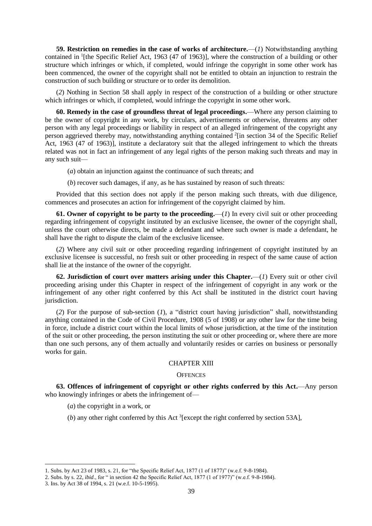**59. Restriction on remedies in the case of works of architecture.**—(*1*) Notwithstanding anything contained in <sup>1</sup>[the Specific Relief Act, 1963 (47 of 1963)], where the construction of a building or other structure which infringes or which, if completed, would infringe the copyright in some other work has been commenced, the owner of the copyright shall not be entitled to obtain an injunction to restrain the construction of such building or structure or to order its demolition.

(*2*) Nothing in Section 58 shall apply in respect of the construction of a building or other structure which infringes or which, if completed, would infringe the copyright in some other work.

**60. Remedy in the case of groundless threat of legal proceedings.**—Where any person claiming to be the owner of copyright in any work, by circulars, advertisements or otherwise, threatens any other person with any legal proceedings or liability in respect of an alleged infringement of the copyright any person aggrieved thereby may, notwithstanding anything contained <sup>2</sup>[in section 34 of the Specific Relief Act, 1963 (47 of 1963)], institute a declaratory suit that the alleged infringement to which the threats related was not in fact an infringement of any legal rights of the person making such threats and may in any such suit—

- (*a*) obtain an injunction against the continuance of such threats; and
- (*b*) recover such damages, if any, as he has sustained by reason of such threats:

Provided that this section does not apply if the person making such threats, with due diligence, commences and prosecutes an action for infringement of the copyright claimed by him.

**61. Owner of copyright to be party to the proceeding.**—(*1*) In every civil suit or other proceeding regarding infringement of copyright instituted by an exclusive licensee, the owner of the copyright shall, unless the court otherwise directs, be made a defendant and where such owner is made a defendant, he shall have the right to dispute the claim of the exclusive licensee.

(*2*) Where any civil suit or other proceeding regarding infringement of copyright instituted by an exclusive licensee is successful, no fresh suit or other proceeding in respect of the same cause of action shall lie at the instance of the owner of the copyright.

**62. Jurisdiction of court over matters arising under this Chapter.**—(*1*) Every suit or other civil proceeding arising under this Chapter in respect of the infringement of copyright in any work or the infringement of any other right conferred by this Act shall be instituted in the district court having jurisdiction.

(*2*) For the purpose of sub-section (*1*), a "district court having jurisdiction" shall, notwithstanding anything contained in the Code of Civil Procedure, 1908 (5 of 1908) or any other law for the time being in force, include a district court within the local limits of whose jurisdiction, at the time of the institution of the suit or other proceeding, the person instituting the suit or other proceeding or, where there are more than one such persons, any of them actually and voluntarily resides or carries on business or personally works for gain.

### CHAPTER XIII

#### **OFFENCES**

**63. Offences of infringement of copyright or other rights conferred by this Act.**—Any person who knowingly infringes or abets the infringement of—

- (*a*) the copyright in a work, or
- ( $b$ ) any other right conferred by this Act <sup>3</sup>[except the right conferred by section 53A],

<sup>1.</sup> Subs. by Act 23 of 1983, s. 21, for "the Specific Relief Act, 1877 (1 of 1877)" (w.e.f. 9-8-1984).

<sup>2.</sup> Subs. by s. 22, *ibid*., for " in section 42 the Specific Relief Act, 1877 (1 of 1977)" (w.e.f. 9-8-1984).

<sup>3.</sup> Ins. by Act 38 of 1994, s. 21 (w.e.f. 10-5-1995).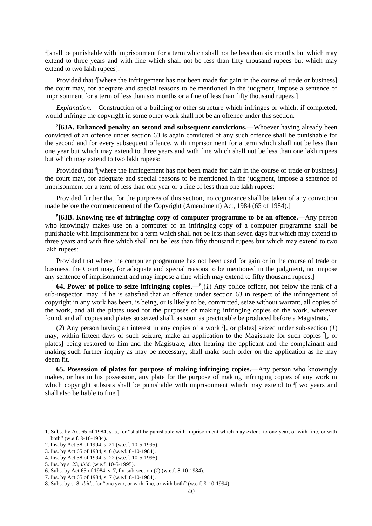<sup>1</sup>[shall be punishable with imprisonment for a term which shall not be less than six months but which may extend to three years and with fine which shall not be less than fifty thousand rupees but which may extend to two lakh rupees]:

Provided that <sup>2</sup>[where the infringement has not been made for gain in the course of trade or business] the court may, for adequate and special reasons to be mentioned in the judgment, impose a sentence of imprisonment for a term of less than six months or a fine of less than fifty thousand rupees.]

*Explanation*.—Construction of a building or other structure which infringes or which, if completed, would infringe the copyright in some other work shall not be an offence under this section.

**3 [63A. Enhanced penalty on second and subsequent convictions.**—Whoever having already been convicted of an offence under section 63 is again convicted of any such offence shall be punishable for the second and for every subsequent offence, with imprisonment for a term which shall not be less than one year but which may extend to three years and with fine which shall not be less than one lakh rupees but which may extend to two lakh rupees:

Provided that <sup>4</sup>[where the infringement has not been made for gain in the course of trade or business] the court may, for adequate and special reasons to be mentioned in the judgment, impose a sentence of imprisonment for a term of less than one year or a fine of less than one lakh rupees:

Provided further that for the purposes of this section, no cognizance shall be taken of any conviction made before the commencement of the Copyright (Amendment) Act, 1984 (65 of 1984).]

**5 [63B. Knowing use of infringing copy of computer programme to be an offence.**—Any person who knowingly makes use on a computer of an infringing copy of a computer programme shall be punishable with imprisonment for a term which shall not be less than seven days but which may extend to three years and with fine which shall not be less than fifty thousand rupees but which may extend to two lakh rupees:

Provided that where the computer programme has not been used for gain or in the course of trade or business, the Court may, for adequate and special reasons to be mentioned in the judgment, not impose any sentence of imprisonment and may impose a fine which may extend to fifty thousand rupees.]

**64. Power of police to seize infringing copies.—** $^{6}$ **[(***1***) Any police officer, not below the rank of a** sub-inspector, may, if he is satisfied that an offence under section 63 in respect of the infringement of copyright in any work has been, is being, or is likely to be, committed, seize without warrant, all copies of the work, and all the plates used for the purposes of making infringing copies of the work, wherever found, and all copies and plates so seized shall, as soon as practicable be produced before a Magistrate.]

(2) Any person having an interest in any copies of a work  $\frac{7}{1}$ , or plates] seized under sub-section (1) may, within fifteen days of such seizure, make an application to the Magistrate for such copies <sup>7</sup>[, or plates] being restored to him and the Magistrate, after hearing the applicant and the complainant and making such further inquiry as may be necessary, shall make such order on the application as he may deem fit.

**65. Possession of plates for purpose of making infringing copies.**—Any person who knowingly makes, or has in his possession, any plate for the purpose of making infringing copies of any work in which copyright subsists shall be punishable with imprisonment which may extend to  ${}^{8}$ [two years and shall also be liable to fine.]

<sup>1.</sup> Subs. by Act 65 of 1984, s. 5, for "shall be punishable with imprisonment which may extend to one year, or with fine, or with both" (w.e.f. 8-10-1984).

<sup>2.</sup> Ins. by Act 38 of 1994, s. 21 (w.e.f. 10-5-1995).

<sup>3.</sup> Ins. by Act 65 of 1984, s. 6 (w.e.f. 8-10-1984).

<sup>4.</sup> Ins. by Act 38 of 1994, s. 22 (w.e.f. 10-5-1995).

<sup>5.</sup> Ins. by s. 23, *ibid*. (w.e.f. 10-5-1995).

<sup>6.</sup> Subs. by Act 65 of 1984, s. 7, for sub-section (*1*) (w.e.f. 8-10-1984).

<sup>7.</sup> Ins. by Act 65 of 1984, s. 7 (w.e.f. 8-10-1984).

<sup>8.</sup> Subs. by s. 8, *ibid.*, for "one year, or with fine, or with both" (w.e.f. 8-10-1994).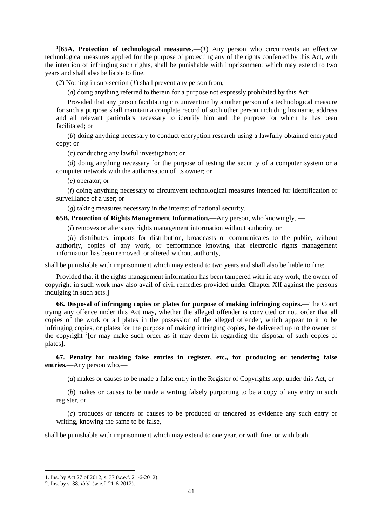1 [**65A. Protection of technological measures**.—(*1*) Any person who circumvents an effective technological measures applied for the purpose of protecting any of the rights conferred by this Act, with the intention of infringing such rights, shall be punishable with imprisonment which may extend to two years and shall also be liable to fine.

(*2*) Nothing in sub-section (*1*) shall prevent any person from,—

(*a*) doing anything referred to therein for a purpose not expressly prohibited by this Act:

Provided that any person facilitating circumvention by another person of a technological measure for such a purpose shall maintain a complete record of such other person including his name, address and all relevant particulars necessary to identify him and the purpose for which he has been facilitated; or

(*b*) doing anything necessary to conduct encryption research using a lawfully obtained encrypted copy; or

(c) conducting any lawful investigation; or

(*d*) doing anything necessary for the purpose of testing the security of a computer system or a computer network with the authorisation of its owner; or

(*e*) operator; or

(*f*) doing anything necessary to circumvent technological measures intended for identification or surveillance of a user; or

(*g*) taking measures necessary in the interest of national security.

**65B. Protection of Rights Management Information.**—Any person, who knowingly, —

(*i*) removes or alters any rights management information without authority, or

(*ii*) distributes, imports for distribution, broadcasts or communicates to the public, without authority, copies of any work, or performance knowing that electronic rights management information has been removed or altered without authority,

shall be punishable with imprisonment which may extend to two years and shall also be liable to fine:

Provided that if the rights management information has been tampered with in any work, the owner of copyright in such work may also avail of civil remedies provided under Chapter XII against the persons indulging in such acts.]

**66. Disposal of infringing copies or plates for purpose of making infringing copies.**—The Court trying any offence under this Act may, whether the alleged offender is convicted or not, order that all copies of the work or all plates in the possession of the alleged offender, which appear to it to be infringing copies, or plates for the purpose of making infringing copies, be delivered up to the owner of the copyright <sup>2</sup>[or may make such order as it may deem fit regarding the disposal of such copies of plates].

**67. Penalty for making false entries in register, etc., for producing or tendering false entries.**—Any person who,—

(*a*) makes or causes to be made a false entry in the Register of Copyrights kept under this Act, or

(*b*) makes or causes to be made a writing falsely purporting to be a copy of any entry in such register, or

(*c*) produces or tenders or causes to be produced or tendered as evidence any such entry or writing, knowing the same to be false,

shall be punishable with imprisonment which may extend to one year, or with fine, or with both.

<sup>1.</sup> Ins. by Act 27 of 2012, s. 37 (w.e.f. 21-6-2012).

<sup>2.</sup> Ins. by s. 38, *ibid*. (w.e.f. 21-6-2012).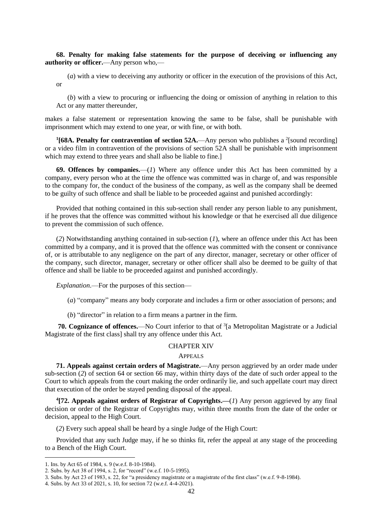**68. Penalty for making false statements for the purpose of deceiving or influencing any authority or officer.**—Any person who,—

(*a*) with a view to deceiving any authority or officer in the execution of the provisions of this Act, or

(*b*) with a view to procuring or influencing the doing or omission of anything in relation to this Act or any matter thereunder,

makes a false statement or representation knowing the same to be false, shall be punishable with imprisonment which may extend to one year, or with fine, or with both.

<sup>1</sup>[68A. Penalty for contravention of section 52A.—Any person who publishes a <sup>2</sup>[sound recording] or a video film in contravention of the provisions of section 52A shall be punishable with imprisonment which may extend to three years and shall also be liable to fine.

**69. Offences by companies.**—(*1*) Where any offence under this Act has been committed by a company, every person who at the time the offence was committed was in charge of, and was responsible to the company for, the conduct of the business of the company, as well as the company shall be deemed to be guilty of such offence and shall be liable to be proceeded against and punished accordingly:

Provided that nothing contained in this sub-section shall render any person liable to any punishment, if he proves that the offence was committed without his knowledge or that he exercised all due diligence to prevent the commission of such offence.

(*2*) Notwithstanding anything contained in sub-section (*1*), where an offence under this Act has been committed by a company, and it is proved that the offence was committed with the consent or connivance of, or is attributable to any negligence on the part of any director, manager, secretary or other officer of the company, such director, manager, secretary or other officer shall also be deemed to be guilty of that offence and shall be liable to be proceeded against and punished accordingly.

*Explanation*.—For the purposes of this section—

- (*a*) "company" means any body corporate and includes a firm or other association of persons; and
- (*b*) "director" in relation to a firm means a partner in the firm.

**70. Cognizance of offences.**—No Court inferior to that of <sup>3</sup>[a Metropolitan Magistrate or a Judicial Magistrate of the first class] shall try any offence under this Act.

## CHAPTER XIV

#### APPEALS

**71. Appeals against certain orders of Magistrate.**—Any person aggrieved by an order made under sub-section (*2*) of section 64 or section 66 may, within thirty days of the date of such order appeal to the Court to which appeals from the court making the order ordinarily lie, and such appellate court may direct that execution of the order be stayed pending disposal of the appeal.

**4 [72. Appeals against orders of Registrar of Copyrights.—**(*1*) Any person aggrieved by any final decision or order of the Registrar of Copyrights may, within three months from the date of the order or decision, appeal to the High Court.

(*2*) Every such appeal shall be heard by a single Judge of the High Court:

Provided that any such Judge may, if he so thinks fit, refer the appeal at any stage of the proceeding to a Bench of the High Court.

<sup>1.</sup> Ins. by Act 65 of 1984, s. 9 (w.e.f. 8-10-1984).

<sup>2.</sup> Subs. by Act 38 of 1994, s. 2, for "record" (w.e.f. 10-5-1995).

<sup>3.</sup> Subs. by Act 23 of 1983, s. 22, for "a presidency magistrate or a magistrate of the first class" (w.e.f. 9-8-1984).

<sup>4.</sup> Subs. by Act 33 of 2021, s. 10, for section 72 (w.e.f. 4-4-2021).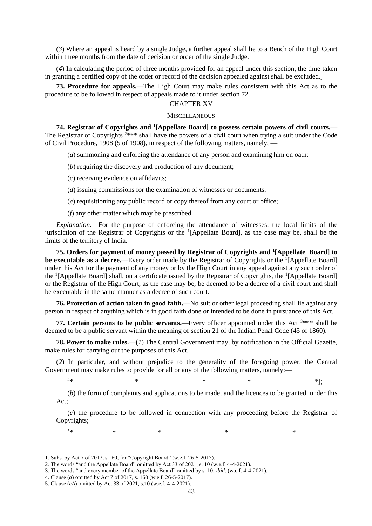(*3*) Where an appeal is heard by a single Judge, a further appeal shall lie to a Bench of the High Court within three months from the date of decision or order of the single Judge.

(*4*) In calculating the period of three months provided for an appeal under this section, the time taken in granting a certified copy of the order or record of the decision appealed against shall be excluded.]

**73. Procedure for appeals.**—The High Court may make rules consistent with this Act as to the procedure to be followed in respect of appeals made to it under section 72.

## CHAPTER XV

### **MISCELLANEOUS**

**74. Registrar of Copyrights and <sup>1</sup> [Appellate Board] to possess certain powers of civil courts.**— The Registrar of Copyrights <sup>2</sup>\*\*\* shall have the powers of a civil court when trying a suit under the Code of Civil Procedure, 1908 (5 of 1908), in respect of the following matters, namely, —

(*a*) summoning and enforcing the attendance of any person and examining him on oath;

(*b*) requiring the discovery and production of any document;

(*c*) receiving evidence on affidavits;

(*d*) issuing commissions for the examination of witnesses or documents;

(*e*) requisitioning any public record or copy thereof from any court or office;

(*f*) any other matter which may be prescribed.

*Explanation*.—For the purpose of enforcing the attendance of witnesses, the local limits of the jurisdiction of the Registrar of Copyrights or the <sup>1</sup>[Appellate Board], as the case may be, shall be the limits of the territory of India.

**75. Orders for payment of money passed by Registrar of Copyrights and <sup>1</sup> [Appellate Board] to**  be executable as a decree.—Every order made by the Registrar of Copyrights or the <sup>1</sup>[Appellate Board] under this Act for the payment of any money or by the High Court in any appeal against any such order of the <sup>1</sup>[Appellate Board] shall, on a certificate issued by the Registrar of Copyrights, the <sup>1</sup>[Appellate Board] or the Registrar of the High Court, as the case may be, be deemed to be a decree of a civil court and shall be executable in the same manner as a decree of such court.

**76. Protection of action taken in good faith.**—No suit or other legal proceeding shall lie against any person in respect of anything which is in good faith done or intended to be done in pursuance of this Act.

**77. Certain persons to be public servants.**—Every officer appointed under this Act <sup>3</sup>\*\*\* shall be deemed to be a public servant within the meaning of section 21 of the Indian Penal Code (45 of 1860).

**78. Power to make rules.**—(*1*) The Central Government may, by notification in the Official Gazette, make rules for carrying out the purposes of this Act.

(*2*) In particular, and without prejudice to the generality of the foregoing power, the Central Government may make rules to provide for all or any of the following matters, namely:—

**.** 

<sup>4</sup>\* \* \* \* \*];

(*b*) the form of complaints and applications to be made, and the licences to be granted, under this Act;

(*c*) the procedure to be followed in connection with any proceeding before the Registrar of Copyrights;

 $5*$  \* \* \* \* \* \* \*

<sup>1.</sup> Subs. by Act 7 of 2017, s.160, for "Copyright Board" (w.e.f. 26-5-2017).

<sup>2.</sup> The words "and the Appellate Board" omitted by Act 33 of 2021, s. 10 (w.e.f. 4-4-2021).

<sup>3.</sup> The words "and every member of the Appellate Board" omitted by s. 10, *ibid*. (w.e.f. 4-4-2021).

<sup>4.</sup> Clause (*a*) omitted by Act 7 of 2017, s. 160 (w.e.f. 26-5-2017).

<sup>5.</sup> Clause (*cA*) omitted by Act 33 of 2021, s.10 (w.e.f. 4-4-2021).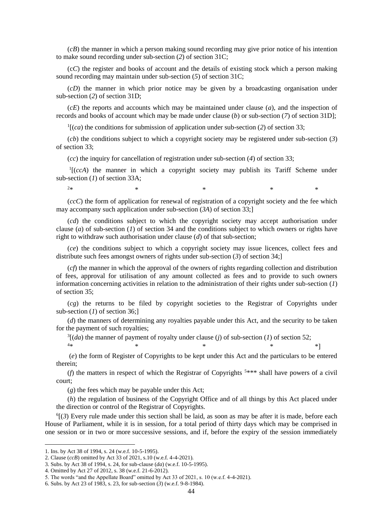(*cB*) the manner in which a person making sound recording may give prior notice of his intention to make sound recording under sub-section (*2*) of section 31C;

(c*C*) the register and books of account and the details of existing stock which a person making sound recording may maintain under sub-section (*5*) of section 31C;

(*cD*) the manner in which prior notice may be given by a broadcasting organisation under sub-section (*2*) of section 31D;

(*cE*) the reports and accounts which may be maintained under clause (*a*), and the inspection of records and books of account which may be made under clause (*b*) or sub-section (*7*) of section 31D];

 $\frac{1}{1}$  (*ca*) the conditions for submission of application under sub-section (2) of section 33;

(*cb*) the conditions subject to which a copyright society may be registered under sub-section (*3*) of section 33;

(*cc*) the inquiry for cancellation of registration under sub-section (*4*) of section 33;

 $<sup>1</sup>$ [(*ccA*) the manner in which a copyright society may publish its Tariff Scheme under</sup> sub-section (*1*) of section 33A;

 $2*$  \* \* \* \* \* \*

(*ccC*) the form of application for renewal of registration of a copyright society and the fee which may accompany such application under sub-section (*3A*) of section 33;]

(*cd*) the conditions subject to which the copyright society may accept authorisation under clause (*a*) of sub-section (*1*) of section 34 and the conditions subject to which owners or rights have right to withdraw such authorisation under clause (*d*) of that sub-section;

(*ce*) the conditions subject to which a copyright society may issue licences, collect fees and distribute such fees amongst owners of rights under sub-section (3) of section 34;

(*cf*) the manner in which the approval of the owners of rights regarding collection and distribution of fees, approval for utilisation of any amount collected as fees and to provide to such owners information concerning activities in relation to the administration of their rights under sub-section (*1*) of section 35;

(*cg*) the returns to be filed by copyright societies to the Registrar of Copyrights under sub-section (*1*) of section 36;]

(*d*) the manners of determining any royalties payable under this Act, and the security to be taken for the payment of such royalties;

 $3[(da)$  the manner of payment of royalty under clause (*j*) of sub-section (*l*) of section 52;  $4*$  \* \*  $*$  \*

(*e*) the form of Register of Copyrights to be kept under this Act and the particulars to be entered

1

therein; (*f*) the matters in respect of which the Registrar of Copyrights <sup>5</sup>\*\*\* shall have powers of a civil court;

(*g*) the fees which may be payable under this Act;

(*h*) the regulation of business of the Copyright Office and of all things by this Act placed under the direction or control of the Registrar of Copyrights.

 ${}^6$ [(3) Every rule made under this section shall be laid, as soon as may be after it is made, before each House of Parliament, while it is in session, for a total period of thirty days which may be comprised in one session or in two or more successive sessions, and if, before the expiry of the session immediately

<sup>1.</sup> Ins. by Act 38 of 1994, s. 24 (w.e.f. 10-5-1995).

<sup>2.</sup> Clause (*ccB*) omitted by Act 33 of 2021, s.10 (w.e.f. 4-4-2021).

<sup>3.</sup> Subs. by Act 38 of 1994, s. 24, for sub-clause (*da*) (w.e.f. 10-5-1995).

<sup>4.</sup> Omitted by Act 27 of 2012, s. 38 (w.e.f. 21-6-2012).

<sup>5.</sup> The words "and the Appellate Board" omitted by Act 33 of 2021, s. 10 (w.e.f. 4-4-2021).

<sup>6.</sup> Subs. by Act 23 of 1983, s. 23, for sub-section (*3*) (w.e.f. 9-8-1984).